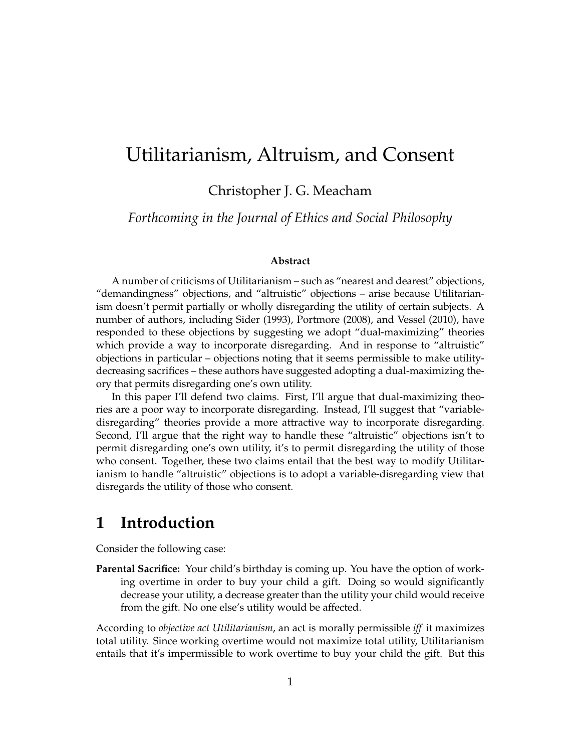# Utilitarianism, Altruism, and Consent

Christopher J. G. Meacham

*Forthcoming in the Journal of Ethics and Social Philosophy*

#### **Abstract**

A number of criticisms of Utilitarianism – such as "nearest and dearest" objections, "demandingness" objections, and "altruistic" objections – arise because Utilitarianism doesn't permit partially or wholly disregarding the utility of certain subjects. A number of authors, including Sider (1993), Portmore (2008), and Vessel (2010), have responded to these objections by suggesting we adopt "dual-maximizing" theories which provide a way to incorporate disregarding. And in response to "altruistic" objections in particular – objections noting that it seems permissible to make utilitydecreasing sacrifices – these authors have suggested adopting a dual-maximizing theory that permits disregarding one's own utility.

In this paper I'll defend two claims. First, I'll argue that dual-maximizing theories are a poor way to incorporate disregarding. Instead, I'll suggest that "variabledisregarding" theories provide a more attractive way to incorporate disregarding. Second, I'll argue that the right way to handle these "altruistic" objections isn't to permit disregarding one's own utility, it's to permit disregarding the utility of those who consent. Together, these two claims entail that the best way to modify Utilitarianism to handle "altruistic" objections is to adopt a variable-disregarding view that disregards the utility of those who consent.

## **1 Introduction**

Consider the following case:

Parental Sacrifice: Your child's birthday is coming up. You have the option of working overtime in order to buy your child a gift. Doing so would significantly decrease your utility, a decrease greater than the utility your child would receive from the gift. No one else's utility would be affected.

According to *objective act Utilitarianism*, an act is morally permissible *iff* it maximizes total utility. Since working overtime would not maximize total utility, Utilitarianism entails that it's impermissible to work overtime to buy your child the gift. But this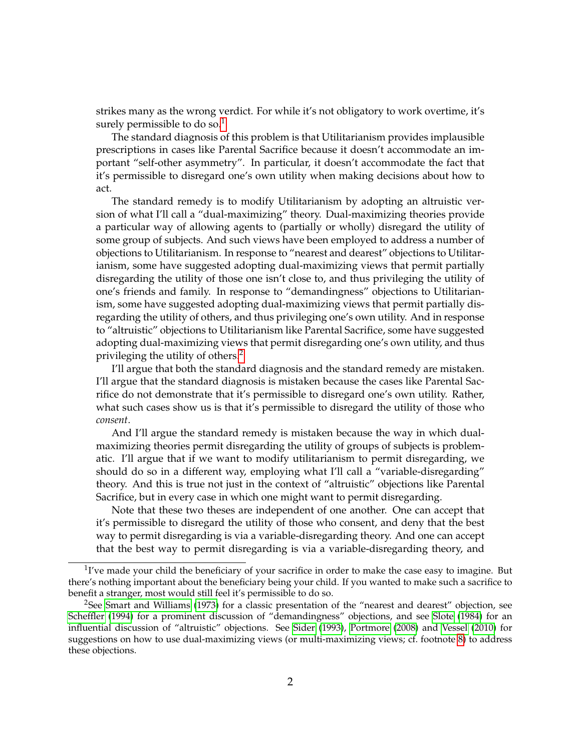strikes many as the wrong verdict. For while it's not obligatory to work overtime, it's surely permissible to do so.<sup>[1](#page-1-0)</sup>

The standard diagnosis of this problem is that Utilitarianism provides implausible prescriptions in cases like Parental Sacrifice because it doesn't accommodate an important "self-other asymmetry". In particular, it doesn't accommodate the fact that it's permissible to disregard one's own utility when making decisions about how to act.

The standard remedy is to modify Utilitarianism by adopting an altruistic version of what I'll call a "dual-maximizing" theory. Dual-maximizing theories provide a particular way of allowing agents to (partially or wholly) disregard the utility of some group of subjects. And such views have been employed to address a number of objections to Utilitarianism. In response to "nearest and dearest" objections to Utilitarianism, some have suggested adopting dual-maximizing views that permit partially disregarding the utility of those one isn't close to, and thus privileging the utility of one's friends and family. In response to "demandingness" objections to Utilitarianism, some have suggested adopting dual-maximizing views that permit partially disregarding the utility of others, and thus privileging one's own utility. And in response to "altruistic" objections to Utilitarianism like Parental Sacrifice, some have suggested adopting dual-maximizing views that permit disregarding one's own utility, and thus privileging the utility of others.[2](#page-1-1)

I'll argue that both the standard diagnosis and the standard remedy are mistaken. I'll argue that the standard diagnosis is mistaken because the cases like Parental Sacrifice do not demonstrate that it's permissible to disregard one's own utility. Rather, what such cases show us is that it's permissible to disregard the utility of those who *consent*.

And I'll argue the standard remedy is mistaken because the way in which dualmaximizing theories permit disregarding the utility of groups of subjects is problematic. I'll argue that if we want to modify utilitarianism to permit disregarding, we should do so in a different way, employing what I'll call a "variable-disregarding" theory. And this is true not just in the context of "altruistic" objections like Parental Sacrifice, but in every case in which one might want to permit disregarding.

Note that these two theses are independent of one another. One can accept that it's permissible to disregard the utility of those who consent, and deny that the best way to permit disregarding is via a variable-disregarding theory. And one can accept that the best way to permit disregarding is via a variable-disregarding theory, and

<span id="page-1-0"></span> $1$ <sup>T</sup> ve made your child the beneficiary of your sacrifice in order to make the case easy to imagine. But there's nothing important about the beneficiary being your child. If you wanted to make such a sacrifice to benefit a stranger, most would still feel it's permissible to do so.

<span id="page-1-1"></span><sup>&</sup>lt;sup>2</sup>See [Smart and Williams](#page-29-0) [\(1973\)](#page-29-0) for a classic presentation of the "nearest and dearest" objection, see [Scheffler](#page-28-0) [\(1994\)](#page-28-0) for a prominent discussion of "demandingness" objections, and see [Slote](#page-28-1) [\(1984\)](#page-28-1) for an influential discussion of "altruistic" objections. See [Sider](#page-28-2) [\(1993\)](#page-28-2), [Portmore](#page-28-3) [\(2008\)](#page-28-3) and [Vessel](#page-29-1) [\(2010\)](#page-29-1) for suggestions on how to use dual-maximizing views (or multi-maximizing views; cf. footnote [8\)](#page-4-0) to address these objections.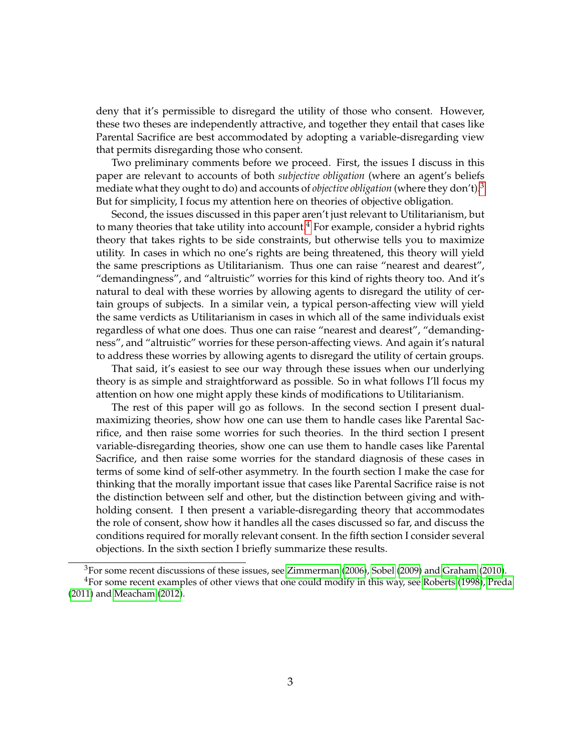deny that it's permissible to disregard the utility of those who consent. However, these two theses are independently attractive, and together they entail that cases like Parental Sacrifice are best accommodated by adopting a variable-disregarding view that permits disregarding those who consent.

Two preliminary comments before we proceed. First, the issues I discuss in this paper are relevant to accounts of both *subjective obligation* (where an agent's beliefs mediate what they ought to do) and accounts of *objective obligation* (where they don't).[3](#page-2-0) But for simplicity, I focus my attention here on theories of objective obligation.

Second, the issues discussed in this paper aren't just relevant to Utilitarianism, but to many theories that take utility into account.<sup>[4](#page-2-1)</sup> For example, consider a hybrid rights theory that takes rights to be side constraints, but otherwise tells you to maximize utility. In cases in which no one's rights are being threatened, this theory will yield the same prescriptions as Utilitarianism. Thus one can raise "nearest and dearest", "demandingness", and "altruistic" worries for this kind of rights theory too. And it's natural to deal with these worries by allowing agents to disregard the utility of certain groups of subjects. In a similar vein, a typical person-affecting view will yield the same verdicts as Utilitarianism in cases in which all of the same individuals exist regardless of what one does. Thus one can raise "nearest and dearest", "demandingness", and "altruistic" worries for these person-affecting views. And again it's natural to address these worries by allowing agents to disregard the utility of certain groups.

That said, it's easiest to see our way through these issues when our underlying theory is as simple and straightforward as possible. So in what follows I'll focus my attention on how one might apply these kinds of modifications to Utilitarianism.

The rest of this paper will go as follows. In the second section I present dualmaximizing theories, show how one can use them to handle cases like Parental Sacrifice, and then raise some worries for such theories. In the third section I present variable-disregarding theories, show one can use them to handle cases like Parental Sacrifice, and then raise some worries for the standard diagnosis of these cases in terms of some kind of self-other asymmetry. In the fourth section I make the case for thinking that the morally important issue that cases like Parental Sacrifice raise is not the distinction between self and other, but the distinction between giving and withholding consent. I then present a variable-disregarding theory that accommodates the role of consent, show how it handles all the cases discussed so far, and discuss the conditions required for morally relevant consent. In the fifth section I consider several objections. In the sixth section I briefly summarize these results.

<span id="page-2-1"></span><span id="page-2-0"></span><sup>&</sup>lt;sup>3</sup>For some recent discussions of these issues, see [Zimmerman](#page-29-2) [\(2006\)](#page-29-2), [Sobel](#page-29-3) [\(2009\)](#page-29-3) and [Graham](#page-28-4) [\(2010\)](#page-28-4). <sup>4</sup>For some recent examples of other views that one could modify in this way, see [Roberts](#page-28-5) [\(1998\)](#page-28-5), [Preda](#page-28-6) [\(2011\)](#page-28-6) and [Meacham](#page-28-7) [\(2012\)](#page-28-7).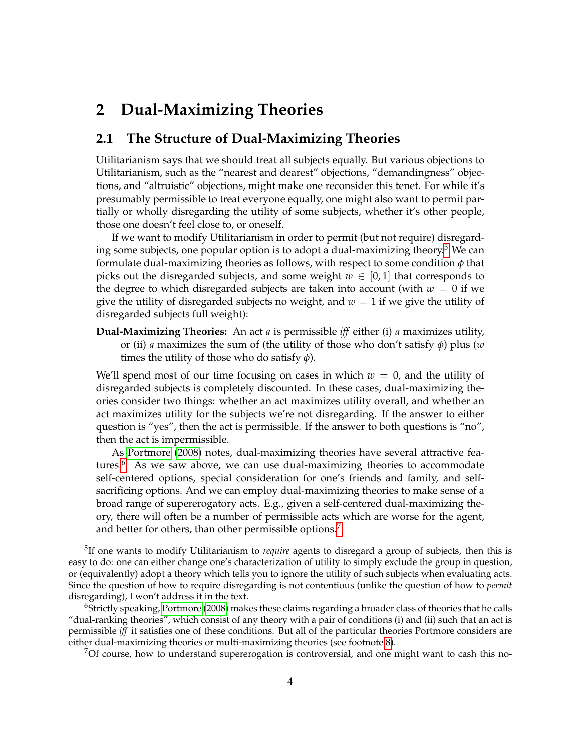## **2 Dual-Maximizing Theories**

### <span id="page-3-3"></span>**2.1 The Structure of Dual-Maximizing Theories**

Utilitarianism says that we should treat all subjects equally. But various objections to Utilitarianism, such as the "nearest and dearest" objections, "demandingness" objections, and "altruistic" objections, might make one reconsider this tenet. For while it's presumably permissible to treat everyone equally, one might also want to permit partially or wholly disregarding the utility of some subjects, whether it's other people, those one doesn't feel close to, or oneself.

If we want to modify Utilitarianism in order to permit (but not require) disregard-ing some subjects, one popular option is to adopt a dual-maximizing theory.<sup>[5](#page-3-0)</sup> We can formulate dual-maximizing theories as follows, with respect to some condition *φ* that picks out the disregarded subjects, and some weight  $w \in [0,1]$  that corresponds to the degree to which disregarded subjects are taken into account (with  $w = 0$  if we give the utility of disregarded subjects no weight, and  $w = 1$  if we give the utility of disregarded subjects full weight):

**Dual-Maximizing Theories:** An act *a* is permissible *iff* either (i) *a* maximizes utility, or (ii) *a* maximizes the sum of (the utility of those who don't satisfy *φ*) plus (*w* times the utility of those who do satisfy *φ*).

We'll spend most of our time focusing on cases in which  $w = 0$ , and the utility of disregarded subjects is completely discounted. In these cases, dual-maximizing theories consider two things: whether an act maximizes utility overall, and whether an act maximizes utility for the subjects we're not disregarding. If the answer to either question is "yes", then the act is permissible. If the answer to both questions is "no", then the act is impermissible.

As [Portmore](#page-28-3) [\(2008\)](#page-28-3) notes, dual-maximizing theories have several attractive fea-tures.<sup>[6](#page-3-1)</sup> As we saw above, we can use dual-maximizing theories to accommodate self-centered options, special consideration for one's friends and family, and selfsacrificing options. And we can employ dual-maximizing theories to make sense of a broad range of supererogatory acts. E.g., given a self-centered dual-maximizing theory, there will often be a number of permissible acts which are worse for the agent, and better for others, than other permissible options.<sup>[7](#page-3-2)</sup>

<span id="page-3-2"></span> $\%$ Of course, how to understand supererogation is controversial, and one might want to cash this no-

<span id="page-3-0"></span><sup>5</sup> If one wants to modify Utilitarianism to *require* agents to disregard a group of subjects, then this is easy to do: one can either change one's characterization of utility to simply exclude the group in question, or (equivalently) adopt a theory which tells you to ignore the utility of such subjects when evaluating acts. Since the question of how to require disregarding is not contentious (unlike the question of how to *permit* disregarding), I won't address it in the text.

<span id="page-3-1"></span><sup>6</sup>Strictly speaking, [Portmore](#page-28-3) [\(2008\)](#page-28-3) makes these claims regarding a broader class of theories that he calls "dual-ranking theories", which consist of any theory with a pair of conditions (i) and (ii) such that an act is permissible *iff* it satisfies one of these conditions. But all of the particular theories Portmore considers are either dual-maximizing theories or multi-maximizing theories (see footnote [8\)](#page-4-0).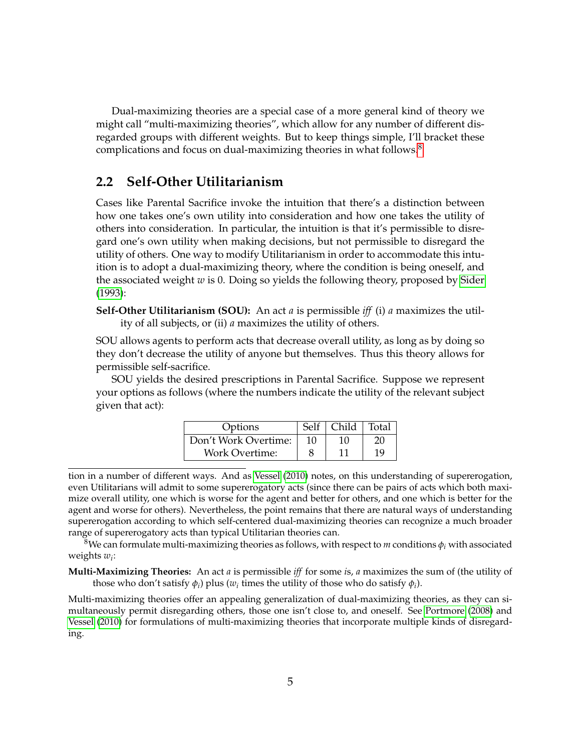Dual-maximizing theories are a special case of a more general kind of theory we might call "multi-maximizing theories", which allow for any number of different disregarded groups with different weights. But to keep things simple, I'll bracket these complications and focus on dual-maximizing theories in what follows.<sup>[8](#page-4-0)</sup>

#### **2.2 Self-Other Utilitarianism**

Cases like Parental Sacrifice invoke the intuition that there's a distinction between how one takes one's own utility into consideration and how one takes the utility of others into consideration. In particular, the intuition is that it's permissible to disregard one's own utility when making decisions, but not permissible to disregard the utility of others. One way to modify Utilitarianism in order to accommodate this intuition is to adopt a dual-maximizing theory, where the condition is being oneself, and the associated weight *w* is 0. Doing so yields the following theory, proposed by [Sider](#page-28-2) [\(1993\)](#page-28-2):

**Self-Other Utilitarianism (SOU):** An act *a* is permissible *iff* (i) *a* maximizes the utility of all subjects, or (ii) *a* maximizes the utility of others.

SOU allows agents to perform acts that decrease overall utility, as long as by doing so they don't decrease the utility of anyone but themselves. Thus this theory allows for permissible self-sacrifice.

SOU yields the desired prescriptions in Parental Sacrifice. Suppose we represent your options as follows (where the numbers indicate the utility of the relevant subject given that act):

| Options               | Self | Child | Total |
|-----------------------|------|-------|-------|
| Don't Work Overtime:  |      | 10    |       |
| <b>Work Overtime:</b> |      |       | 19    |

tion in a number of different ways. And as [Vessel](#page-29-1) [\(2010\)](#page-29-1) notes, on this understanding of supererogation, even Utilitarians will admit to some supererogatory acts (since there can be pairs of acts which both maximize overall utility, one which is worse for the agent and better for others, and one which is better for the agent and worse for others). Nevertheless, the point remains that there are natural ways of understanding supererogation according to which self-centered dual-maximizing theories can recognize a much broader range of supererogatory acts than typical Utilitarian theories can.

<span id="page-4-0"></span><sup>8</sup>We can formulate multi-maximizing theories as follows, with respect to *m* conditions  $\phi_i$  with associated weights *w<sup>i</sup>* :

**Multi-Maximizing Theories:** An act *a* is permissible *iff* for some *i*s, *a* maximizes the sum of (the utility of those who don't satisfy  $\phi_i$ ) plus ( $w_i$  times the utility of those who do satisfy  $\phi_i$ ).

Multi-maximizing theories offer an appealing generalization of dual-maximizing theories, as they can simultaneously permit disregarding others, those one isn't close to, and oneself. See [Portmore](#page-28-3) [\(2008\)](#page-28-3) and [Vessel](#page-29-1) [\(2010\)](#page-29-1) for formulations of multi-maximizing theories that incorporate multiple kinds of disregarding.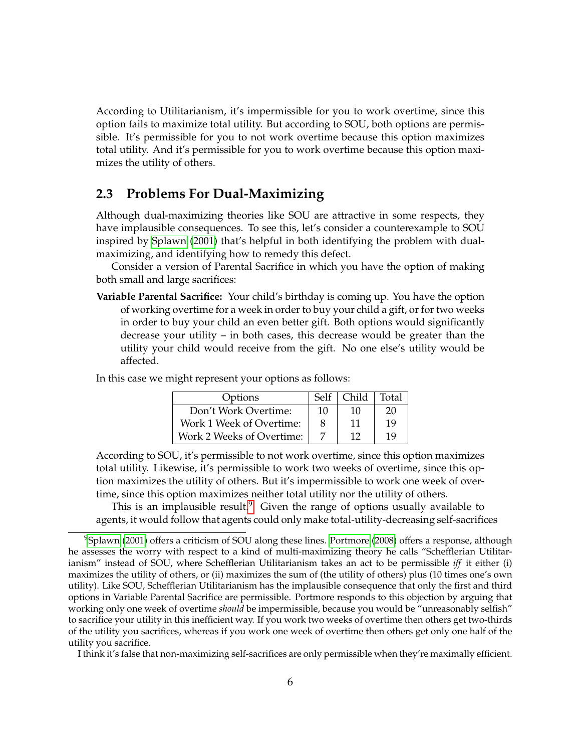According to Utilitarianism, it's impermissible for you to work overtime, since this option fails to maximize total utility. But according to SOU, both options are permissible. It's permissible for you to not work overtime because this option maximizes total utility. And it's permissible for you to work overtime because this option maximizes the utility of others.

### <span id="page-5-1"></span>**2.3 Problems For Dual-Maximizing**

Although dual-maximizing theories like SOU are attractive in some respects, they have implausible consequences. To see this, let's consider a counterexample to SOU inspired by [Splawn](#page-29-4) [\(2001\)](#page-29-4) that's helpful in both identifying the problem with dualmaximizing, and identifying how to remedy this defect.

Consider a version of Parental Sacrifice in which you have the option of making both small and large sacrifices:

**Variable Parental Sacrifice:** Your child's birthday is coming up. You have the option of working overtime for a week in order to buy your child a gift, or for two weeks in order to buy your child an even better gift. Both options would significantly decrease your utility – in both cases, this decrease would be greater than the utility your child would receive from the gift. No one else's utility would be affected.

In this case we might represent your options as follows:

| Options                   | Self | Child | Total |
|---------------------------|------|-------|-------|
| Don't Work Overtime:      | 10   | 10    | 20    |
| Work 1 Week of Overtime:  | 8    | 11    | 19    |
| Work 2 Weeks of Overtime: |      | 12    | 19    |

According to SOU, it's permissible to not work overtime, since this option maximizes total utility. Likewise, it's permissible to work two weeks of overtime, since this option maximizes the utility of others. But it's impermissible to work one week of overtime, since this option maximizes neither total utility nor the utility of others.

This is an implausible result.<sup>[9](#page-5-0)</sup> Given the range of options usually available to agents, it would follow that agents could only make total-utility-decreasing self-sacrifices

I think it's false that non-maximizing self-sacrifices are only permissible when they're maximally efficient.

<span id="page-5-0"></span><sup>&</sup>lt;sup>9</sup>[Splawn](#page-29-4) [\(2001\)](#page-29-4) offers a criticism of SOU along these lines. [Portmore](#page-28-3) [\(2008\)](#page-28-3) offers a response, although he assesses the worry with respect to a kind of multi-maximizing theory he calls "Schefflerian Utilitarianism" instead of SOU, where Schefflerian Utilitarianism takes an act to be permissible *iff* it either (i) maximizes the utility of others, or (ii) maximizes the sum of (the utility of others) plus (10 times one's own utility). Like SOU, Schefflerian Utilitarianism has the implausible consequence that only the first and third options in Variable Parental Sacrifice are permissible. Portmore responds to this objection by arguing that working only one week of overtime *should* be impermissible, because you would be "unreasonably selfish" to sacrifice your utility in this inefficient way. If you work two weeks of overtime then others get two-thirds of the utility you sacrifices, whereas if you work one week of overtime then others get only one half of the utility you sacrifice.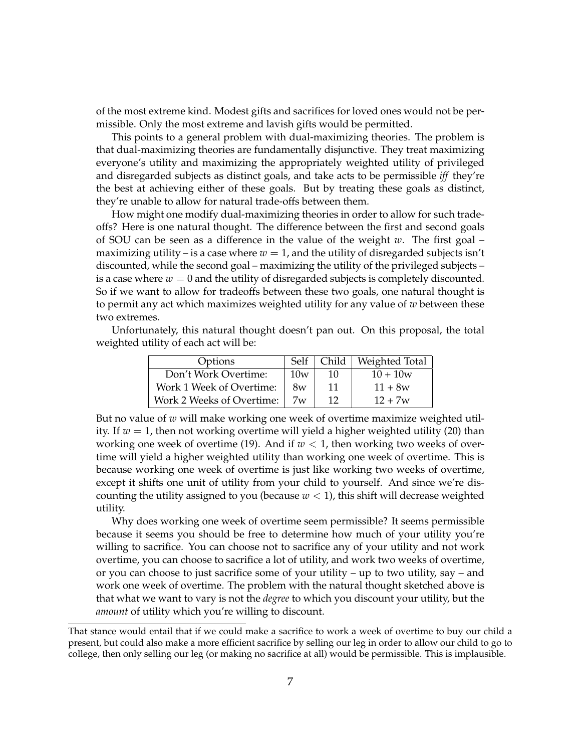of the most extreme kind. Modest gifts and sacrifices for loved ones would not be permissible. Only the most extreme and lavish gifts would be permitted.

This points to a general problem with dual-maximizing theories. The problem is that dual-maximizing theories are fundamentally disjunctive. They treat maximizing everyone's utility and maximizing the appropriately weighted utility of privileged and disregarded subjects as distinct goals, and take acts to be permissible *iff* they're the best at achieving either of these goals. But by treating these goals as distinct, they're unable to allow for natural trade-offs between them.

How might one modify dual-maximizing theories in order to allow for such tradeoffs? Here is one natural thought. The difference between the first and second goals of SOU can be seen as a difference in the value of the weight *w*. The first goal – maximizing utility – is a case where  $w = 1$ , and the utility of disregarded subjects isn't discounted, while the second goal – maximizing the utility of the privileged subjects – is a case where  $w = 0$  and the utility of disregarded subjects is completely discounted. So if we want to allow for tradeoffs between these two goals, one natural thought is to permit any act which maximizes weighted utility for any value of *w* between these two extremes.

Unfortunately, this natural thought doesn't pan out. On this proposal, the total weighted utility of each act will be:

| Options                   | Self |              | Child   Weighted Total |
|---------------------------|------|--------------|------------------------|
| Don't Work Overtime:      | 10w  | 10           | $10 + 10w$             |
| Work 1 Week of Overtime:  | 8w   | 11           | $11 + 8w$              |
| Work 2 Weeks of Overtime: | 7w   | $12^{\circ}$ | $12 + 7w$              |

But no value of *w* will make working one week of overtime maximize weighted utility. If  $w = 1$ , then not working overtime will yield a higher weighted utility (20) than working one week of overtime (19). And if  $w < 1$ , then working two weeks of overtime will yield a higher weighted utility than working one week of overtime. This is because working one week of overtime is just like working two weeks of overtime, except it shifts one unit of utility from your child to yourself. And since we're discounting the utility assigned to you (because  $w < 1$ ), this shift will decrease weighted utility.

Why does working one week of overtime seem permissible? It seems permissible because it seems you should be free to determine how much of your utility you're willing to sacrifice. You can choose not to sacrifice any of your utility and not work overtime, you can choose to sacrifice a lot of utility, and work two weeks of overtime, or you can choose to just sacrifice some of your utility – up to two utility, say – and work one week of overtime. The problem with the natural thought sketched above is that what we want to vary is not the *degree* to which you discount your utility, but the *amount* of utility which you're willing to discount.

That stance would entail that if we could make a sacrifice to work a week of overtime to buy our child a present, but could also make a more efficient sacrifice by selling our leg in order to allow our child to go to college, then only selling our leg (or making no sacrifice at all) would be permissible. This is implausible.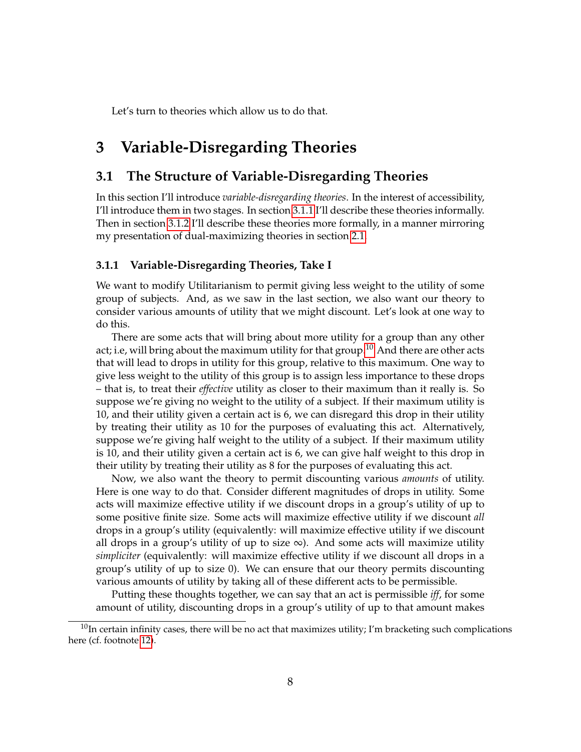Let's turn to theories which allow us to do that.

## **3 Variable-Disregarding Theories**

### **3.1 The Structure of Variable-Disregarding Theories**

In this section I'll introduce *variable-disregarding theories*. In the interest of accessibility, I'll introduce them in two stages. In section [3.1.1](#page-7-0) I'll describe these theories informally. Then in section [3.1.2](#page-9-0) I'll describe these theories more formally, in a manner mirroring my presentation of dual-maximizing theories in section [2.1.](#page-3-3)

#### <span id="page-7-0"></span>**3.1.1 Variable-Disregarding Theories, Take I**

We want to modify Utilitarianism to permit giving less weight to the utility of some group of subjects. And, as we saw in the last section, we also want our theory to consider various amounts of utility that we might discount. Let's look at one way to do this.

There are some acts that will bring about more utility for a group than any other act; i.e, will bring about the maximum utility for that group.<sup>[10](#page-7-1)</sup> And there are other acts that will lead to drops in utility for this group, relative to this maximum. One way to give less weight to the utility of this group is to assign less importance to these drops – that is, to treat their *effective* utility as closer to their maximum than it really is. So suppose we're giving no weight to the utility of a subject. If their maximum utility is 10, and their utility given a certain act is 6, we can disregard this drop in their utility by treating their utility as 10 for the purposes of evaluating this act. Alternatively, suppose we're giving half weight to the utility of a subject. If their maximum utility is 10, and their utility given a certain act is 6, we can give half weight to this drop in their utility by treating their utility as 8 for the purposes of evaluating this act.

Now, we also want the theory to permit discounting various *amounts* of utility. Here is one way to do that. Consider different magnitudes of drops in utility. Some acts will maximize effective utility if we discount drops in a group's utility of up to some positive finite size. Some acts will maximize effective utility if we discount *all* drops in a group's utility (equivalently: will maximize effective utility if we discount all drops in a group's utility of up to size  $\infty$ ). And some acts will maximize utility *simpliciter* (equivalently: will maximize effective utility if we discount all drops in a group's utility of up to size 0). We can ensure that our theory permits discounting various amounts of utility by taking all of these different acts to be permissible.

Putting these thoughts together, we can say that an act is permissible *iff*, for some amount of utility, discounting drops in a group's utility of up to that amount makes

<span id="page-7-1"></span> $^{10}$ In certain infinity cases, there will be no act that maximizes utility; I'm bracketing such complications here (cf. footnote [12\)](#page-9-1).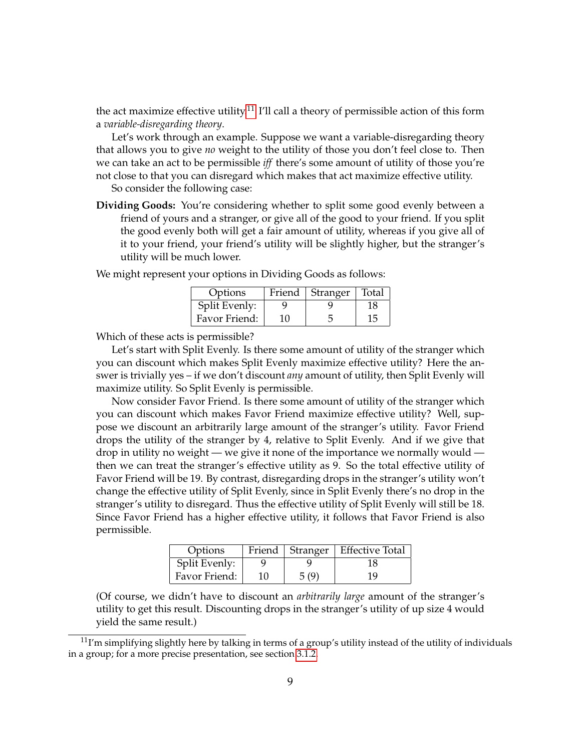the act maximize effective utility.<sup>[11](#page-8-0)</sup> I'll call a theory of permissible action of this form a *variable-disregarding theory*.

Let's work through an example. Suppose we want a variable-disregarding theory that allows you to give *no* weight to the utility of those you don't feel close to. Then we can take an act to be permissible *iff* there's some amount of utility of those you're not close to that you can disregard which makes that act maximize effective utility.

So consider the following case:

**Dividing Goods:** You're considering whether to split some good evenly between a friend of yours and a stranger, or give all of the good to your friend. If you split the good evenly both will get a fair amount of utility, whereas if you give all of it to your friend, your friend's utility will be slightly higher, but the stranger's utility will be much lower.

| Options       |    | Friend   Stranger | Total |
|---------------|----|-------------------|-------|
| Split Evenly: |    |                   | 18    |
| Favor Friend: | 10 |                   | 15    |

We might represent your options in Dividing Goods as follows:

Which of these acts is permissible?

Let's start with Split Evenly. Is there some amount of utility of the stranger which you can discount which makes Split Evenly maximize effective utility? Here the answer is trivially yes – if we don't discount *any* amount of utility, then Split Evenly will maximize utility. So Split Evenly is permissible.

Now consider Favor Friend. Is there some amount of utility of the stranger which you can discount which makes Favor Friend maximize effective utility? Well, suppose we discount an arbitrarily large amount of the stranger's utility. Favor Friend drops the utility of the stranger by 4, relative to Split Evenly. And if we give that drop in utility no weight — we give it none of the importance we normally would then we can treat the stranger's effective utility as 9. So the total effective utility of Favor Friend will be 19. By contrast, disregarding drops in the stranger's utility won't change the effective utility of Split Evenly, since in Split Evenly there's no drop in the stranger's utility to disregard. Thus the effective utility of Split Evenly will still be 18. Since Favor Friend has a higher effective utility, it follows that Favor Friend is also permissible.

| Options       |    |      | Friend   Stranger   Effective Total |
|---------------|----|------|-------------------------------------|
| Split Evenly: |    |      | 18                                  |
| Favor Friend: | 10 | 5(9) | 19                                  |

(Of course, we didn't have to discount an *arbitrarily large* amount of the stranger's utility to get this result. Discounting drops in the stranger's utility of up size 4 would yield the same result.)

<span id="page-8-0"></span> $11$ I'm simplifying slightly here by talking in terms of a group's utility instead of the utility of individuals in a group; for a more precise presentation, see section [3.1.2.](#page-9-0)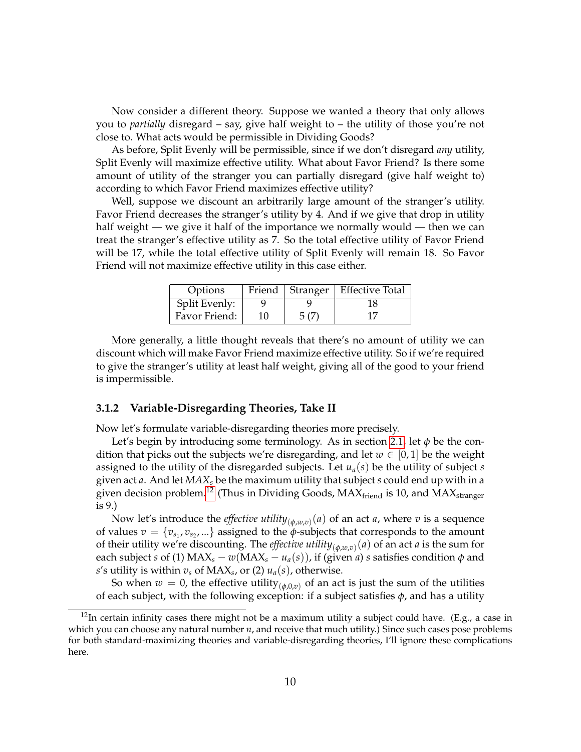Now consider a different theory. Suppose we wanted a theory that only allows you to *partially* disregard – say, give half weight to – the utility of those you're not close to. What acts would be permissible in Dividing Goods?

As before, Split Evenly will be permissible, since if we don't disregard *any* utility, Split Evenly will maximize effective utility. What about Favor Friend? Is there some amount of utility of the stranger you can partially disregard (give half weight to) according to which Favor Friend maximizes effective utility?

Well, suppose we discount an arbitrarily large amount of the stranger's utility. Favor Friend decreases the stranger's utility by 4. And if we give that drop in utility half weight — we give it half of the importance we normally would — then we can treat the stranger's effective utility as 7. So the total effective utility of Favor Friend will be 17, while the total effective utility of Split Evenly will remain 18. So Favor Friend will not maximize effective utility in this case either.

| Options       |    |      | Friend   Stranger   Effective Total |
|---------------|----|------|-------------------------------------|
| Split Evenly: |    |      |                                     |
| Favor Friend: | 10 | 5(7) |                                     |

More generally, a little thought reveals that there's no amount of utility we can discount which will make Favor Friend maximize effective utility. So if we're required to give the stranger's utility at least half weight, giving all of the good to your friend is impermissible.

#### <span id="page-9-0"></span>**3.1.2 Variable-Disregarding Theories, Take II**

Now let's formulate variable-disregarding theories more precisely.

Let's begin by introducing some terminology. As in section [2.1,](#page-3-3) let *φ* be the condition that picks out the subjects we're disregarding, and let  $w \in [0,1]$  be the weight assigned to the utility of the disregarded subjects. Let *ua*(*s*) be the utility of subject *s* given act *a*. And let *MAX<sup>s</sup>* be the maximum utility that subject *s* could end up with in a given decision problem.<sup>[12](#page-9-1)</sup> (Thus in Dividing Goods,  $MAX_{\text{friend}}$  is 10, and  $MAX_{\text{stranger}}$ is 9.)

Now let's introduce the *effective utility*(*φ*,*w*,*v*) (*a*) of an act *a*, where *v* is a sequence of values  $v = \{v_{s_1}, v_{s_2}, ...\}$  assigned to the  $\phi$ -subjects that corresponds to the amount of their utility we're discounting. The *effective utility*(*φ*,*w*,*v*) (*a*) of an act *a* is the sum for each subject *s* of (1)  $MAX_s - w(MAX_s - u_a(s))$ , if (given *a*) *s* satisfies condition  $\phi$  and *s*'s utility is within  $v_s$  of MAX $_s$ , or (2)  $u_a(s)$ , otherwise.

So when  $w = 0$ , the effective utility<sub>( $\phi$ , $0$ , $v$ ) of an act is just the sum of the utilities</sub> of each subject, with the following exception: if a subject satisfies *φ*, and has a utility

<span id="page-9-1"></span> $12$ In certain infinity cases there might not be a maximum utility a subject could have. (E.g., a case in which you can choose any natural number *n*, and receive that much utility.) Since such cases pose problems for both standard-maximizing theories and variable-disregarding theories, I'll ignore these complications here.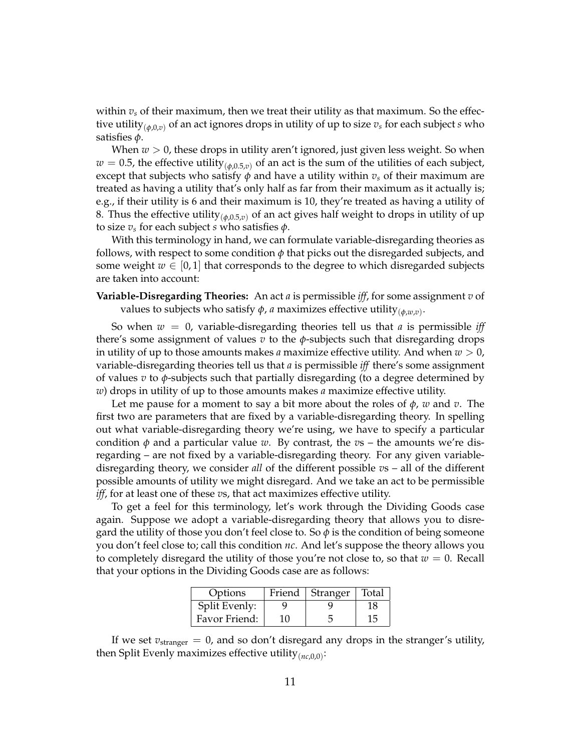within *v<sup>s</sup>* of their maximum, then we treat their utility as that maximum. So the effective utility(*φ*,0,*v*) of an act ignores drops in utility of up to size *v<sup>s</sup>* for each subject *s* who satisfies *φ*.

When  $w > 0$ , these drops in utility aren't ignored, just given less weight. So when  $w = 0.5$ , the effective utility<sub>( $\phi$ , $0.5$ , $v$ ) of an act is the sum of the utilities of each subject,</sub> except that subjects who satisfy  $\phi$  and have a utility within  $v_s$  of their maximum are treated as having a utility that's only half as far from their maximum as it actually is; e.g., if their utility is 6 and their maximum is 10, they're treated as having a utility of 8. Thus the effective utility(*φ*,0.5,*v*) of an act gives half weight to drops in utility of up to size  $v_s$  for each subject *s* who satisfies  $\phi$ .

With this terminology in hand, we can formulate variable-disregarding theories as follows, with respect to some condition  $\phi$  that picks out the disregarded subjects, and some weight  $w \in [0, 1]$  that corresponds to the degree to which disregarded subjects are taken into account:

### **Variable-Disregarding Theories:** An act *a* is permissible *iff*, for some assignment *v* of values to subjects who satisfy  $\phi$ , *a* maximizes effective utility $_{(\phi, w, v)}$ .

So when  $w = 0$ , variable-disregarding theories tell us that *a* is permissible *iff* there's some assignment of values  $v$  to the  $\phi$ -subjects such that disregarding drops in utility of up to those amounts makes *a* maximize effective utility. And when  $w > 0$ , variable-disregarding theories tell us that *a* is permissible *iff* there's some assignment of values *v* to *φ*-subjects such that partially disregarding (to a degree determined by *w*) drops in utility of up to those amounts makes *a* maximize effective utility.

Let me pause for a moment to say a bit more about the roles of *φ*, *w* and *v*. The first two are parameters that are fixed by a variable-disregarding theory. In spelling out what variable-disregarding theory we're using, we have to specify a particular condition  $\phi$  and a particular value *w*. By contrast, the *v*s – the amounts we're disregarding – are not fixed by a variable-disregarding theory. For any given variabledisregarding theory, we consider *all* of the different possible *v*s – all of the different possible amounts of utility we might disregard. And we take an act to be permissible *iff*, for at least one of these *v*s, that act maximizes effective utility.

To get a feel for this terminology, let's work through the Dividing Goods case again. Suppose we adopt a variable-disregarding theory that allows you to disregard the utility of those you don't feel close to. So  $\phi$  is the condition of being someone you don't feel close to; call this condition *nc*. And let's suppose the theory allows you to completely disregard the utility of those you're not close to, so that  $w = 0$ . Recall that your options in the Dividing Goods case are as follows:

| Options       |    | Friend   Stranger | Total |
|---------------|----|-------------------|-------|
| Split Evenly: |    |                   | 18    |
| Favor Friend: | 10 |                   | 15    |

If we set  $v_{\text{stranger}} = 0$ , and so don't disregard any drops in the stranger's utility, then Split Evenly maximizes effective utility(*nc*,0,0) :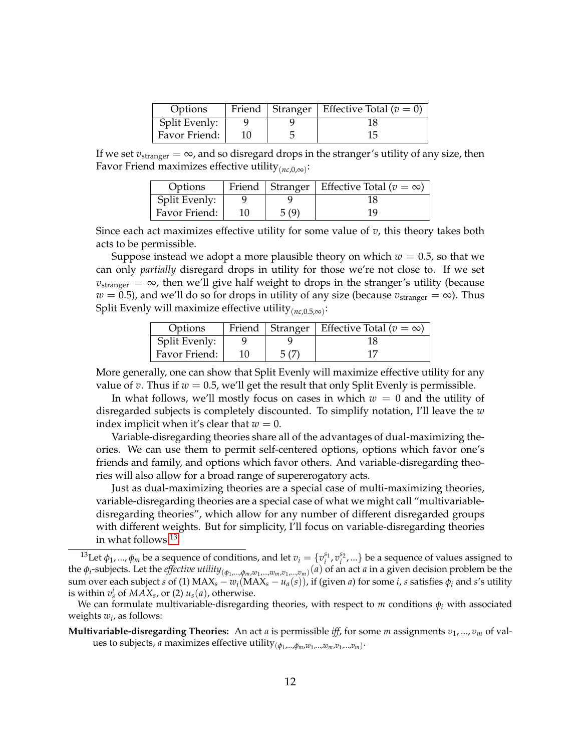| Options       |  | Friend   Stranger   Effective Total ( $v = 0$ ) |
|---------------|--|-------------------------------------------------|
| Split Evenly: |  |                                                 |
| Favor Friend: |  | 15                                              |

If we set  $v_{\text{stranger}} = \infty$ , and so disregard drops in the stranger's utility of any size, then Favor Friend maximizes effective utility(*nc*,0,∞) :

| Options       |    |      | Friend   Stranger   Effective Total ( $v = \infty$ ) |
|---------------|----|------|------------------------------------------------------|
| Split Evenly: |    |      |                                                      |
| Favor Friend: | 10 | 5(9) | 19                                                   |

Since each act maximizes effective utility for some value of *v*, this theory takes both acts to be permissible.

Suppose instead we adopt a more plausible theory on which  $w = 0.5$ , so that we can only *partially* disregard drops in utility for those we're not close to. If we set  $v_{\text{stranger}} = \infty$ , then we'll give half weight to drops in the stranger's utility (because  $w = 0.5$ ), and we'll do so for drops in utility of any size (because  $v_{\text{stranger}} = \infty$ ). Thus Split Evenly will maximize effective utility(*nc*,0.5,∞) :

| Options       |      | Friend   Stranger   Effective Total ( $v = \infty$ ) |
|---------------|------|------------------------------------------------------|
| Split Evenly: |      |                                                      |
| Favor Friend: | 5(7) |                                                      |

More generally, one can show that Split Evenly will maximize effective utility for any value of *v*. Thus if  $w = 0.5$ , we'll get the result that only Split Evenly is permissible.

In what follows, we'll mostly focus on cases in which  $w = 0$  and the utility of disregarded subjects is completely discounted. To simplify notation, I'll leave the *w* index implicit when it's clear that  $w = 0$ .

Variable-disregarding theories share all of the advantages of dual-maximizing theories. We can use them to permit self-centered options, options which favor one's friends and family, and options which favor others. And variable-disregarding theories will also allow for a broad range of supererogatory acts.

Just as dual-maximizing theories are a special case of multi-maximizing theories, variable-disregarding theories are a special case of what we might call "multivariabledisregarding theories", which allow for any number of different disregarded groups with different weights. But for simplicity, I'll focus on variable-disregarding theories in what follows.[13](#page-11-0)

<span id="page-11-0"></span><sup>&</sup>lt;sup>13</sup>Let  $\phi_1$ , ...,  $\phi_m$  be a sequence of conditions, and let  $v_i = \{v_i^{s_1}, v_i^{s_2}, ...\}$  be a sequence of values assigned to the  $\phi_i$ -subjects. Let the *effective utility*  $_{(\phi_1,...,\phi_m,w_1,...,w_m,v_1,...,v_m)}(a)$  of an act *a* in a given decision problem be the sum over each subject *s* of (1) MAX<sub>*s*</sub> − *w*<sub>*i*</sub>(MAX<sub>*s*</sub> − *u<sub>a</sub>*(*s*)), if (given *a*) for some *i*, *s* satisfies  $\phi_i$  and *s*'s utility is within  $v_s^i$  of  $MAX_s$ , or (2)  $u_s(a)$ , otherwise.

We can formulate multivariable-disregarding theories, with respect to  $m$  conditions  $\phi_i$  with associated weights *w<sup>i</sup>* , as follows:

**Multivariable-disregarding Theories:** An act *a* is permissible *iff*, for some *m* assignments *v*1, ..., *v<sup>m</sup>* of values to subjects, *a* maximizes effective utility(*φ*<sup>1</sup> ,...,*φm*,*w*<sup>1</sup> ,...,*wm*,*v*<sup>1</sup> ,...,*vm*) .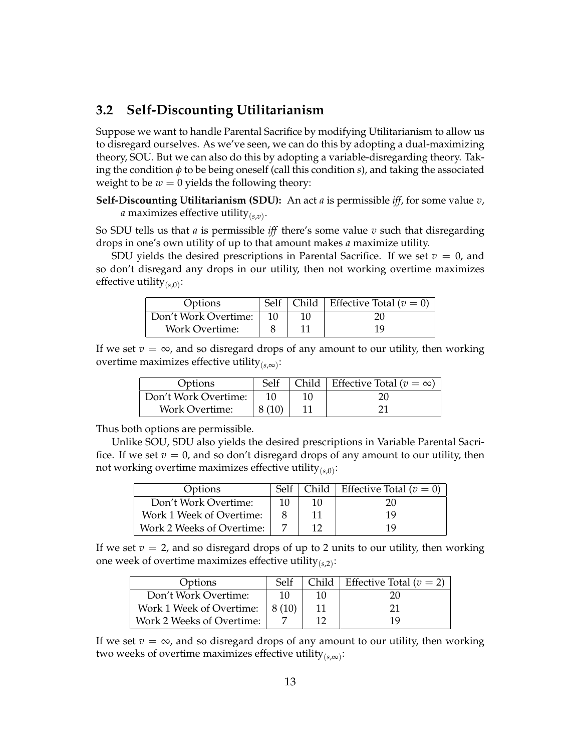### <span id="page-12-0"></span>**3.2 Self-Discounting Utilitarianism**

Suppose we want to handle Parental Sacrifice by modifying Utilitarianism to allow us to disregard ourselves. As we've seen, we can do this by adopting a dual-maximizing theory, SOU. But we can also do this by adopting a variable-disregarding theory. Taking the condition *φ* to be being oneself (call this condition *s*), and taking the associated weight to be  $w = 0$  yields the following theory:

**Self-Discounting Utilitarianism (SDU):** An act *a* is permissible *iff*, for some value *v*, *a* maximizes effective utility $_{(s,v)}$ .

So SDU tells us that *a* is permissible *iff* there's some value *v* such that disregarding drops in one's own utility of up to that amount makes *a* maximize utility.

SDU yields the desired prescriptions in Parental Sacrifice. If we set  $v = 0$ , and so don't disregard any drops in our utility, then not working overtime maximizes effective utility(*s*,0) :

| Options               |    |    | Self   Child   Effective Total ( $v = 0$ ) |
|-----------------------|----|----|--------------------------------------------|
| Don't Work Overtime:  | 10 | 10 |                                            |
| <b>Work Overtime:</b> |    |    | 19                                         |

If we set  $v = \infty$ , and so disregard drops of any amount to our utility, then working overtime maximizes effective utility(*s*,∞) :

| Options               | Self   | Child   Effective Total ( $v = \infty$ ) |
|-----------------------|--------|------------------------------------------|
| Don't Work Overtime:  |        |                                          |
| <b>Work Overtime:</b> | 8 (10) |                                          |

Thus both options are permissible.

Unlike SOU, SDU also yields the desired prescriptions in Variable Parental Sacrifice. If we set  $v = 0$ , and so don't disregard drops of any amount to our utility, then not working overtime maximizes effective utility(*s*,0) :

| Options                   | Self |    | Child   Effective Total ( $v = 0$ ) |
|---------------------------|------|----|-------------------------------------|
| Don't Work Overtime:      |      | 10 | 20                                  |
| Work 1 Week of Overtime:  |      |    | 19                                  |
| Work 2 Weeks of Overtime: |      |    | 19                                  |

If we set  $v = 2$ , and so disregard drops of up to 2 units to our utility, then working one week of overtime maximizes effective utility(*s*,2) :

| Options                   | Self  | Child | Effective Total ( $v = 2$ ) |
|---------------------------|-------|-------|-----------------------------|
| Don't Work Overtime:      | 10    | 10    | 20                          |
| Work 1 Week of Overtime:  | 8(10) |       | 21                          |
| Work 2 Weeks of Overtime: |       |       | 19                          |

If we set  $v = \infty$ , and so disregard drops of any amount to our utility, then working two weeks of overtime maximizes effective utility(*s*,∞) :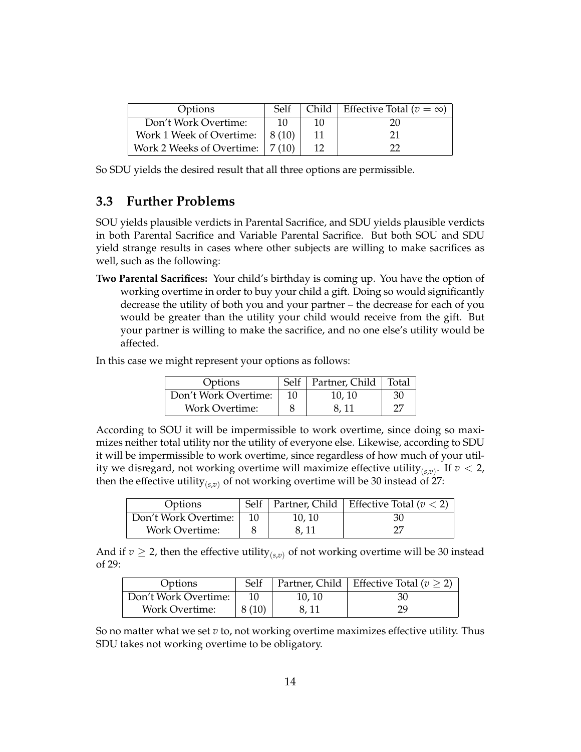| Options                                    | <b>Self</b> |    | Child   Effective Total ( $v = \infty$ ) |
|--------------------------------------------|-------------|----|------------------------------------------|
| Don't Work Overtime:                       | -10         | 10 | 20                                       |
| Work 1 Week of Overtime: $\mid 8(10) \mid$ |             |    | 21                                       |
| Work 2 Weeks of Overtime:   7 (10)         |             |    | רר                                       |

So SDU yields the desired result that all three options are permissible.

### **3.3 Further Problems**

SOU yields plausible verdicts in Parental Sacrifice, and SDU yields plausible verdicts in both Parental Sacrifice and Variable Parental Sacrifice. But both SOU and SDU yield strange results in cases where other subjects are willing to make sacrifices as well, such as the following:

**Two Parental Sacrifices:** Your child's birthday is coming up. You have the option of working overtime in order to buy your child a gift. Doing so would significantly decrease the utility of both you and your partner – the decrease for each of you would be greater than the utility your child would receive from the gift. But your partner is willing to make the sacrifice, and no one else's utility would be affected.

In this case we might represent your options as follows:

| Options               | Self | Partner, Child | Total |
|-----------------------|------|----------------|-------|
| Don't Work Overtime:  | 10   | 10, 10         | 30    |
| <b>Work Overtime:</b> |      | 8.11           | 27    |

According to SOU it will be impermissible to work overtime, since doing so maximizes neither total utility nor the utility of everyone else. Likewise, according to SDU it will be impermissible to work overtime, since regardless of how much of your utility we disregard, not working overtime will maximize effective utility<sub>(*s*,*v*)</sub>. If  $v < 2$ , then the effective utility<sub>( $s, v$ )</sub> of not working overtime will be 30 instead of 27:

| Options               |    |       | Self   Partner, Child   Effective Total ( $v < 2$ ) |
|-----------------------|----|-------|-----------------------------------------------------|
| Don't Work Overtime:  | 10 | 10.10 | 30                                                  |
| <b>Work Overtime:</b> |    | 8.11  |                                                     |

And if  $v \ge 2$ , then the effective utility<sub>(s,*v*)</sub> of not working overtime will be 30 instead of 29:

| Options               | Self  |        | Partner, Child   Effective Total ( $v \geq 2$ ) |
|-----------------------|-------|--------|-------------------------------------------------|
| Don't Work Overtime:  | 10    | 10, 10 | 30                                              |
| <b>Work Overtime:</b> | 8(10) | 8, 11  | 29                                              |

So no matter what we set *v* to, not working overtime maximizes effective utility. Thus SDU takes not working overtime to be obligatory.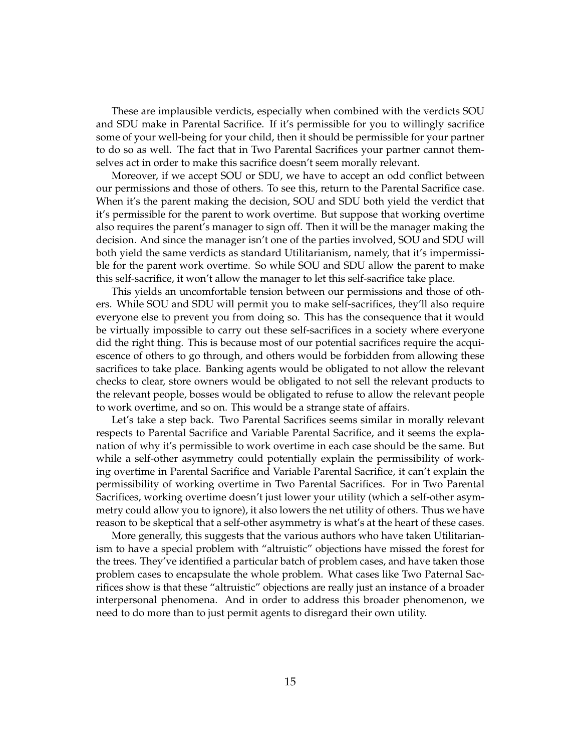These are implausible verdicts, especially when combined with the verdicts SOU and SDU make in Parental Sacrifice. If it's permissible for you to willingly sacrifice some of your well-being for your child, then it should be permissible for your partner to do so as well. The fact that in Two Parental Sacrifices your partner cannot themselves act in order to make this sacrifice doesn't seem morally relevant.

Moreover, if we accept SOU or SDU, we have to accept an odd conflict between our permissions and those of others. To see this, return to the Parental Sacrifice case. When it's the parent making the decision, SOU and SDU both yield the verdict that it's permissible for the parent to work overtime. But suppose that working overtime also requires the parent's manager to sign off. Then it will be the manager making the decision. And since the manager isn't one of the parties involved, SOU and SDU will both yield the same verdicts as standard Utilitarianism, namely, that it's impermissible for the parent work overtime. So while SOU and SDU allow the parent to make this self-sacrifice, it won't allow the manager to let this self-sacrifice take place.

This yields an uncomfortable tension between our permissions and those of others. While SOU and SDU will permit you to make self-sacrifices, they'll also require everyone else to prevent you from doing so. This has the consequence that it would be virtually impossible to carry out these self-sacrifices in a society where everyone did the right thing. This is because most of our potential sacrifices require the acquiescence of others to go through, and others would be forbidden from allowing these sacrifices to take place. Banking agents would be obligated to not allow the relevant checks to clear, store owners would be obligated to not sell the relevant products to the relevant people, bosses would be obligated to refuse to allow the relevant people to work overtime, and so on. This would be a strange state of affairs.

Let's take a step back. Two Parental Sacrifices seems similar in morally relevant respects to Parental Sacrifice and Variable Parental Sacrifice, and it seems the explanation of why it's permissible to work overtime in each case should be the same. But while a self-other asymmetry could potentially explain the permissibility of working overtime in Parental Sacrifice and Variable Parental Sacrifice, it can't explain the permissibility of working overtime in Two Parental Sacrifices. For in Two Parental Sacrifices, working overtime doesn't just lower your utility (which a self-other asymmetry could allow you to ignore), it also lowers the net utility of others. Thus we have reason to be skeptical that a self-other asymmetry is what's at the heart of these cases.

More generally, this suggests that the various authors who have taken Utilitarianism to have a special problem with "altruistic" objections have missed the forest for the trees. They've identified a particular batch of problem cases, and have taken those problem cases to encapsulate the whole problem. What cases like Two Paternal Sacrifices show is that these "altruistic" objections are really just an instance of a broader interpersonal phenomena. And in order to address this broader phenomenon, we need to do more than to just permit agents to disregard their own utility.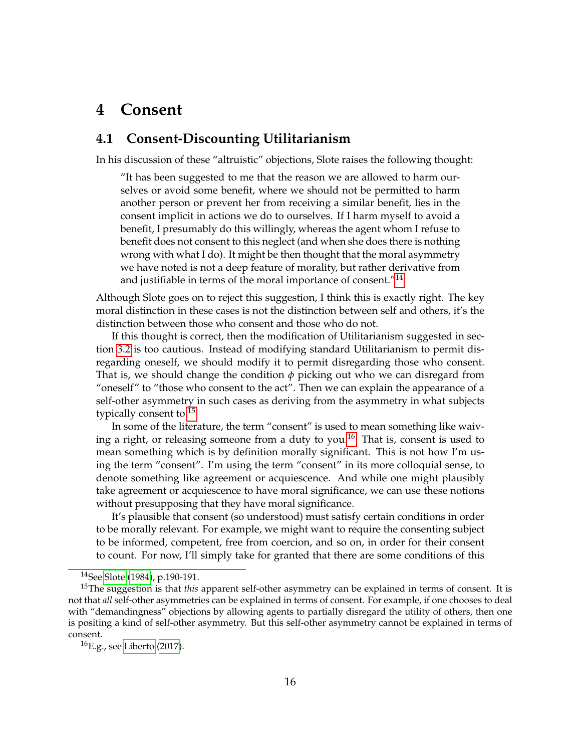## **4 Consent**

### **4.1 Consent-Discounting Utilitarianism**

In his discussion of these "altruistic" objections, Slote raises the following thought:

"It has been suggested to me that the reason we are allowed to harm ourselves or avoid some benefit, where we should not be permitted to harm another person or prevent her from receiving a similar benefit, lies in the consent implicit in actions we do to ourselves. If I harm myself to avoid a benefit, I presumably do this willingly, whereas the agent whom I refuse to benefit does not consent to this neglect (and when she does there is nothing wrong with what I do). It might be then thought that the moral asymmetry we have noted is not a deep feature of morality, but rather derivative from and justifiable in terms of the moral importance of consent."<sup>[14](#page-15-0)</sup>

Although Slote goes on to reject this suggestion, I think this is exactly right. The key moral distinction in these cases is not the distinction between self and others, it's the distinction between those who consent and those who do not.

If this thought is correct, then the modification of Utilitarianism suggested in section [3.2](#page-12-0) is too cautious. Instead of modifying standard Utilitarianism to permit disregarding oneself, we should modify it to permit disregarding those who consent. That is, we should change the condition  $\phi$  picking out who we can disregard from "oneself" to "those who consent to the act". Then we can explain the appearance of a self-other asymmetry in such cases as deriving from the asymmetry in what subjects typically consent to.[15](#page-15-1)

In some of the literature, the term "consent" is used to mean something like waiv-ing a right, or releasing someone from a duty to you.<sup>[16](#page-15-2)</sup> That is, consent is used to mean something which is by definition morally significant. This is not how I'm using the term "consent". I'm using the term "consent" in its more colloquial sense, to denote something like agreement or acquiescence. And while one might plausibly take agreement or acquiescence to have moral significance, we can use these notions without presupposing that they have moral significance.

It's plausible that consent (so understood) must satisfy certain conditions in order to be morally relevant. For example, we might want to require the consenting subject to be informed, competent, free from coercion, and so on, in order for their consent to count. For now, I'll simply take for granted that there are some conditions of this

<span id="page-15-1"></span><span id="page-15-0"></span><sup>14</sup>See [Slote](#page-28-1) [\(1984\)](#page-28-1), p.190-191.

<sup>&</sup>lt;sup>15</sup>The suggestion is that *this* apparent self-other asymmetry can be explained in terms of consent. It is not that *all* self-other asymmetries can be explained in terms of consent. For example, if one chooses to deal with "demandingness" objections by allowing agents to partially disregard the utility of others, then one is positing a kind of self-other asymmetry. But this self-other asymmetry cannot be explained in terms of consent.

<span id="page-15-2"></span> ${}^{16}E.g.,$  see [Liberto](#page-28-8) [\(2017\)](#page-28-8).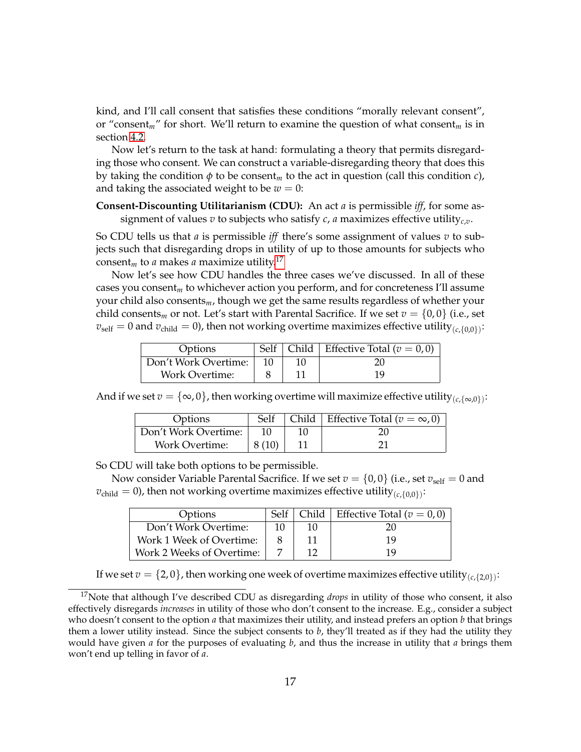kind, and I'll call consent that satisfies these conditions "morally relevant consent", or "consent*m*" for short. We'll return to examine the question of what consent*<sup>m</sup>* is in section [4.2.](#page-17-0)

Now let's return to the task at hand: formulating a theory that permits disregarding those who consent. We can construct a variable-disregarding theory that does this by taking the condition *φ* to be consent*<sup>m</sup>* to the act in question (call this condition *c*), and taking the associated weight to be  $w = 0$ :

**Consent-Discounting Utilitarianism (CDU):** An act *a* is permissible *iff*, for some assignment of values  $v$  to subjects who satisfy  $c$ ,  $a$  maximizes effective utility<sub>c, $v$ </sub>.

So CDU tells us that *a* is permissible *iff* there's some assignment of values *v* to subjects such that disregarding drops in utility of up to those amounts for subjects who consent<sub>m</sub> to *a* makes *a* maximize utility.<sup>[17](#page-16-0)</sup>

Now let's see how CDU handles the three cases we've discussed. In all of these cases you consent*<sup>m</sup>* to whichever action you perform, and for concreteness I'll assume your child also consents*m*, though we get the same results regardless of whether your child consents<sub>*m*</sub> or not. Let's start with Parental Sacrifice. If we set  $v = \{0, 0\}$  (i.e., set  $v_{\rm self}=0$  and  $v_{\rm child}=0$ ), then not working overtime maximizes effective utility<sub>( $c$ ,{0,0}</sub>):

| Options               |  | Self   Child   Effective Total ( $v = 0,0$ ) |
|-----------------------|--|----------------------------------------------|
| Don't Work Overtime:  |  |                                              |
| <b>Work Overtime:</b> |  | 19                                           |

And if we set  $v = \{\infty, 0\}$ , then working overtime will maximize effective utility  $_{(c, \{\infty, 0\})}$ :

| Options               | Self  | Child   Effective Total ( $v = \infty$ , 0) |
|-----------------------|-------|---------------------------------------------|
| Don't Work Overtime:  |       | 20                                          |
| <b>Work Overtime:</b> | 8(10) |                                             |

So CDU will take both options to be permissible.

Now consider Variable Parental Sacrifice. If we set  $v = \{0,0\}$  (i.e., set  $v_{self} = 0$  and  $v_{\text{child}} = 0$ ), then not working overtime maximizes effective utility<sub>( $c$ </sub>{0,0}):

| Options                   |    |     | Self   Child   Effective Total ( $v = 0,0$ ) |
|---------------------------|----|-----|----------------------------------------------|
| Don't Work Overtime:      | 10 | 10. | 20                                           |
| Work 1 Week of Overtime:  |    |     | 19                                           |
| Work 2 Weeks of Overtime: |    |     | 19                                           |

<span id="page-16-0"></span>If we set  $v=\{2,0\}$  , then working one week of overtime maximizes effective utility  $_{(c,\{2,0\})}$ :

<sup>&</sup>lt;sup>17</sup>Note that although I've described CDU as disregarding *drops* in utility of those who consent, it also effectively disregards *increases* in utility of those who don't consent to the increase. E.g., consider a subject who doesn't consent to the option *a* that maximizes their utility, and instead prefers an option *b* that brings them a lower utility instead. Since the subject consents to *b*, they'll treated as if they had the utility they would have given *a* for the purposes of evaluating *b*, and thus the increase in utility that *a* brings them won't end up telling in favor of *a*.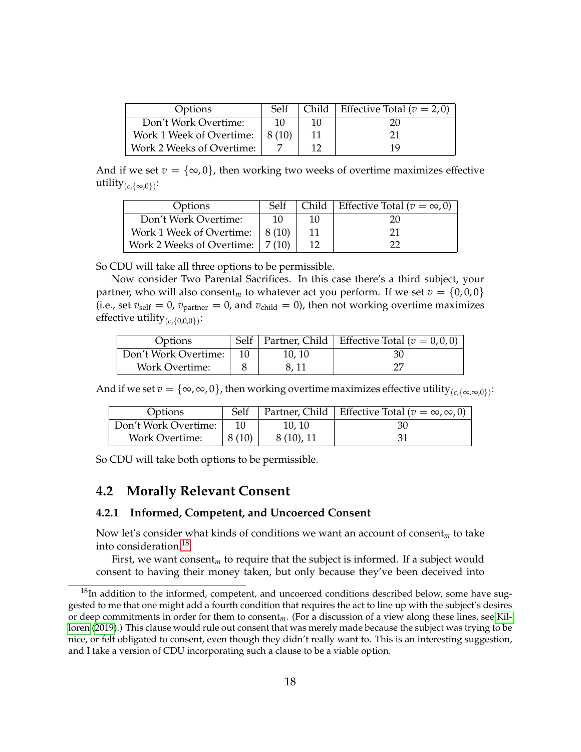| Options                   | Self  |    | Child   Effective Total ( $v = 2, 0$ ) |
|---------------------------|-------|----|----------------------------------------|
| Don't Work Overtime:      | -10   | 10 | 20                                     |
| Work 1 Week of Overtime:  | 8(10) |    | 21                                     |
| Work 2 Weeks of Overtime: |       |    | 19                                     |

And if we set  $v = \{\infty, 0\}$ , then working two weeks of overtime maximizes effective  $\text{utility}_{(c,\{\infty,0\})}\colon$ 

| Options                                 | Self           | Child | Effective Total ( $v = \infty$ , 0) |
|-----------------------------------------|----------------|-------|-------------------------------------|
| Don't Work Overtime:                    |                | 10    | 20                                  |
| Work 1 Week of Overtime:                | $\perp$ 8 (10) |       |                                     |
| Work 2 Weeks of Overtime: $\mid$ 7 (10) |                |       |                                     |

So CDU will take all three options to be permissible.

Now consider Two Parental Sacrifices. In this case there's a third subject, your partner, who will also consent<sub>*m*</sub> to whatever act you perform. If we set  $v = \{0,0,0\}$ (i.e., set  $v_{\text{self}} = 0$ ,  $v_{\text{partner}} = 0$ , and  $v_{\text{child}} = 0$ ), then not working overtime maximizes effective utility(*c*,{0,0,0}) :

| Options               |        | Self   Partner, Child   Effective Total ( $v = 0, 0, 0$ ) |
|-----------------------|--------|-----------------------------------------------------------|
| Don't Work Overtime:  | 10, 10 | 30                                                        |
| <b>Work Overtime:</b> | 8.11   |                                                           |

And if we set  $v=\{\infty,\infty,0\}$ , then working overtime maximizes effective utility  $_{(c,\{\infty,\infty,0\})}$ :

| Options              | Self  |           | Partner, Child   Effective Total ( $v = \infty, \infty, 0$ ) |
|----------------------|-------|-----------|--------------------------------------------------------------|
| Don't Work Overtime: |       | 10.10     | 30                                                           |
| Work Overtime:       | 8(10) | 8(10), 11 | 31                                                           |

So CDU will take both options to be permissible.

#### <span id="page-17-0"></span>**4.2 Morally Relevant Consent**

#### <span id="page-17-2"></span>**4.2.1 Informed, Competent, and Uncoerced Consent**

Now let's consider what kinds of conditions we want an account of consent*<sup>m</sup>* to take into consideration.[18](#page-17-1)

First, we want consent*<sup>m</sup>* to require that the subject is informed. If a subject would consent to having their money taken, but only because they've been deceived into

<span id="page-17-1"></span> $18$ In addition to the informed, competent, and uncoerced conditions described below, some have suggested to me that one might add a fourth condition that requires the act to line up with the subject's desires or deep commitments in order for them to consent*m*. (For a discussion of a view along these lines, see [Kil](#page-28-9)[loren](#page-28-9) [\(2019\)](#page-28-9).) This clause would rule out consent that was merely made because the subject was trying to be nice, or felt obligated to consent, even though they didn't really want to. This is an interesting suggestion, and I take a version of CDU incorporating such a clause to be a viable option.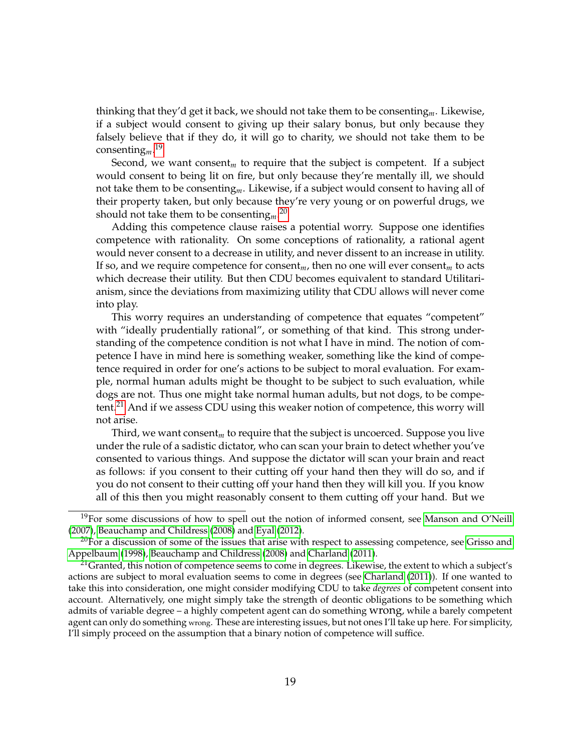thinking that they'd get it back, we should not take them to be consenting*m*. Likewise, if a subject would consent to giving up their salary bonus, but only because they falsely believe that if they do, it will go to charity, we should not take them to be consenting*m*. [19](#page-18-0)

Second, we want consent<sub>*m*</sub> to require that the subject is competent. If a subject would consent to being lit on fire, but only because they're mentally ill, we should not take them to be consenting*m*. Likewise, if a subject would consent to having all of their property taken, but only because they're very young or on powerful drugs, we should not take them to be consenting*m*. [20](#page-18-1)

Adding this competence clause raises a potential worry. Suppose one identifies competence with rationality. On some conceptions of rationality, a rational agent would never consent to a decrease in utility, and never dissent to an increase in utility. If so, and we require competence for consent*m*, then no one will ever consent*<sup>m</sup>* to acts which decrease their utility. But then CDU becomes equivalent to standard Utilitarianism, since the deviations from maximizing utility that CDU allows will never come into play.

This worry requires an understanding of competence that equates "competent" with "ideally prudentially rational", or something of that kind. This strong understanding of the competence condition is not what I have in mind. The notion of competence I have in mind here is something weaker, something like the kind of competence required in order for one's actions to be subject to moral evaluation. For example, normal human adults might be thought to be subject to such evaluation, while dogs are not. Thus one might take normal human adults, but not dogs, to be competent.[21](#page-18-2) And if we assess CDU using this weaker notion of competence, this worry will not arise.

Third, we want consent*<sup>m</sup>* to require that the subject is uncoerced. Suppose you live under the rule of a sadistic dictator, who can scan your brain to detect whether you've consented to various things. And suppose the dictator will scan your brain and react as follows: if you consent to their cutting off your hand then they will do so, and if you do not consent to their cutting off your hand then they will kill you. If you know all of this then you might reasonably consent to them cutting off your hand. But we

<span id="page-18-0"></span> $19$ For some discussions of how to spell out the notion of informed consent, see [Manson and O'Neill](#page-28-10) [\(2007\)](#page-28-10), [Beauchamp and Childress](#page-27-0) [\(2008\)](#page-27-0) and [Eyal](#page-28-11) [\(2012\)](#page-28-11).

<span id="page-18-1"></span> $20$ For a discussion of some of the issues that arise with respect to assessing competence, see [Grisso and](#page-28-12) [Appelbaum](#page-28-12) [\(1998\)](#page-28-12), [Beauchamp and Childress](#page-27-0) [\(2008\)](#page-27-0) and [Charland](#page-27-1) [\(2011\)](#page-27-1).

<span id="page-18-2"></span> $^{21}$ Granted, this notion of competence seems to come in degrees. Likewise, the extent to which a subject's actions are subject to moral evaluation seems to come in degrees (see [Charland](#page-27-1) [\(2011\)](#page-27-1)). If one wanted to take this into consideration, one might consider modifying CDU to take *degrees* of competent consent into account. Alternatively, one might simply take the strength of deontic obligations to be something which admits of variable degree – a highly competent agent can do something wrong, while a barely competent agent can only do something wrong. These are interesting issues, but not ones I'll take up here. For simplicity, I'll simply proceed on the assumption that a binary notion of competence will suffice.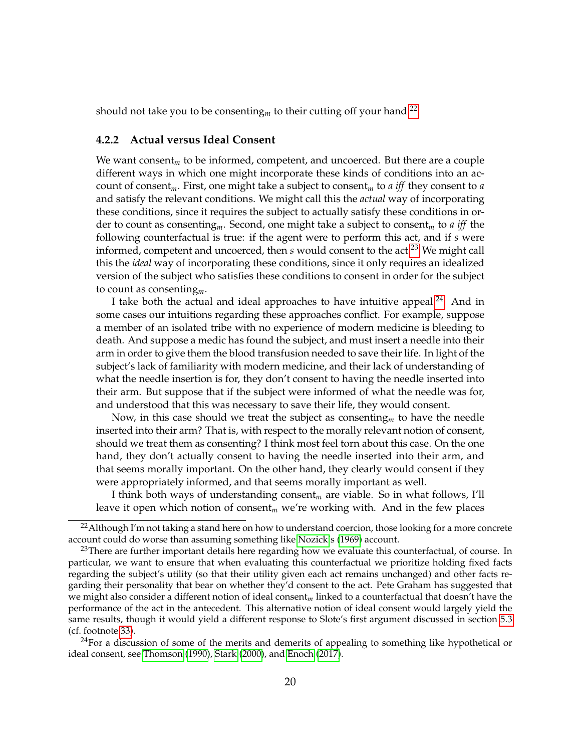should not take you to be consenting<sub>*m*</sub> to their cutting off your hand.<sup>[22](#page-19-0)</sup>

#### **4.2.2 Actual versus Ideal Consent**

We want consent*<sup>m</sup>* to be informed, competent, and uncoerced. But there are a couple different ways in which one might incorporate these kinds of conditions into an account of consent*m*. First, one might take a subject to consent*<sup>m</sup>* to *a iff* they consent to *a* and satisfy the relevant conditions. We might call this the *actual* way of incorporating these conditions, since it requires the subject to actually satisfy these conditions in order to count as consenting*m*. Second, one might take a subject to consent*<sup>m</sup>* to *a iff* the following counterfactual is true: if the agent were to perform this act, and if *s* were informed, competent and uncoerced, then *s* would consent to the act.<sup>[23](#page-19-1)</sup> We might call this the *ideal* way of incorporating these conditions, since it only requires an idealized version of the subject who satisfies these conditions to consent in order for the subject to count as consenting*m*.

I take both the actual and ideal approaches to have intuitive appeal. $^{24}$  $^{24}$  $^{24}$  And in some cases our intuitions regarding these approaches conflict. For example, suppose a member of an isolated tribe with no experience of modern medicine is bleeding to death. And suppose a medic has found the subject, and must insert a needle into their arm in order to give them the blood transfusion needed to save their life. In light of the subject's lack of familiarity with modern medicine, and their lack of understanding of what the needle insertion is for, they don't consent to having the needle inserted into their arm. But suppose that if the subject were informed of what the needle was for, and understood that this was necessary to save their life, they would consent.

Now, in this case should we treat the subject as consenting*<sup>m</sup>* to have the needle inserted into their arm? That is, with respect to the morally relevant notion of consent, should we treat them as consenting? I think most feel torn about this case. On the one hand, they don't actually consent to having the needle inserted into their arm, and that seems morally important. On the other hand, they clearly would consent if they were appropriately informed, and that seems morally important as well.

I think both ways of understanding consent*<sup>m</sup>* are viable. So in what follows, I'll leave it open which notion of consent*<sup>m</sup>* we're working with. And in the few places

<span id="page-19-2"></span> $^{24}$ For a discussion of some of the merits and demerits of appealing to something like hypothetical or ideal consent, see [Thomson](#page-29-5) [\(1990\)](#page-29-5), [Stark](#page-29-6) [\(2000\)](#page-29-6), and [Enoch](#page-27-2) [\(2017\)](#page-27-2).

<span id="page-19-0"></span><sup>&</sup>lt;sup>22</sup> Although I'm not taking a stand here on how to understand coercion, those looking for a more concrete account could do worse than assuming something like [Nozick'](#page-28-13)s [\(1969\)](#page-28-13) account.

<span id="page-19-1"></span> $23$ There are further important details here regarding how we evaluate this counterfactual, of course. In particular, we want to ensure that when evaluating this counterfactual we prioritize holding fixed facts regarding the subject's utility (so that their utility given each act remains unchanged) and other facts regarding their personality that bear on whether they'd consent to the act. Pete Graham has suggested that we might also consider a different notion of ideal consent*m* linked to a counterfactual that doesn't have the performance of the act in the antecedent. This alternative notion of ideal consent would largely yield the same results, though it would yield a different response to Slote's first argument discussed in section [5.3](#page-24-0) (cf. footnote [33\)](#page-25-0).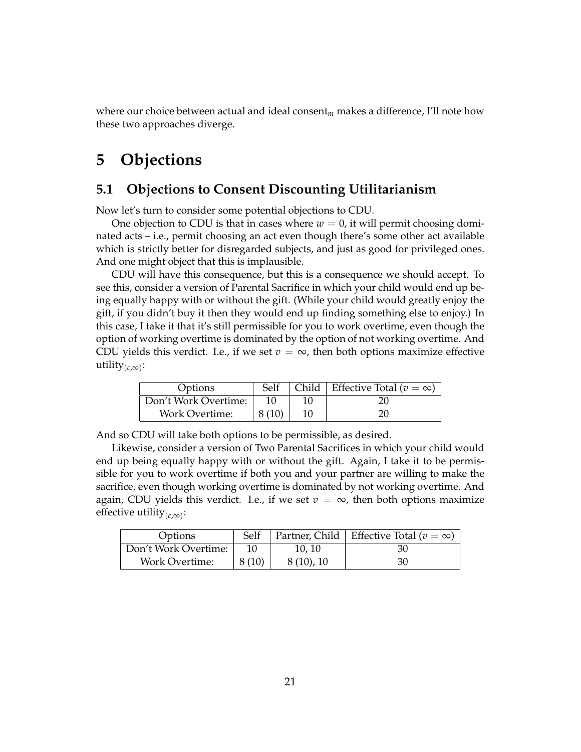where our choice between actual and ideal consent*<sup>m</sup>* makes a difference, I'll note how these two approaches diverge.

## **5 Objections**

### <span id="page-20-0"></span>**5.1 Objections to Consent Discounting Utilitarianism**

Now let's turn to consider some potential objections to CDU.

One objection to CDU is that in cases where  $w = 0$ , it will permit choosing dominated acts – i.e., permit choosing an act even though there's some other act available which is strictly better for disregarded subjects, and just as good for privileged ones. And one might object that this is implausible.

CDU will have this consequence, but this is a consequence we should accept. To see this, consider a version of Parental Sacrifice in which your child would end up being equally happy with or without the gift. (While your child would greatly enjoy the gift, if you didn't buy it then they would end up finding something else to enjoy.) In this case, I take it that it's still permissible for you to work overtime, even though the option of working overtime is dominated by the option of not working overtime. And CDU yields this verdict. I.e., if we set  $v = \infty$ , then both options maximize effective utility(*c*,∞) :

| Options               | Self  | Child   Effective Total ( $v = \infty$ ) |
|-----------------------|-------|------------------------------------------|
| Don't Work Overtime:  |       |                                          |
| <b>Work Overtime:</b> | 8(10) | 20                                       |

And so CDU will take both options to be permissible, as desired.

Likewise, consider a version of Two Parental Sacrifices in which your child would end up being equally happy with or without the gift. Again, I take it to be permissible for you to work overtime if both you and your partner are willing to make the sacrifice, even though working overtime is dominated by not working overtime. And again, CDU yields this verdict. I.e., if we set  $v = \infty$ , then both options maximize effective utility(*c*,∞) :

| Options               | Self  |           | Partner, Child   Effective Total ( $v = \infty$ ) |
|-----------------------|-------|-----------|---------------------------------------------------|
| Don't Work Overtime:  | 10    | 10, 10    | -30                                               |
| <b>Work Overtime:</b> | 8(10) | 8(10), 10 | 30                                                |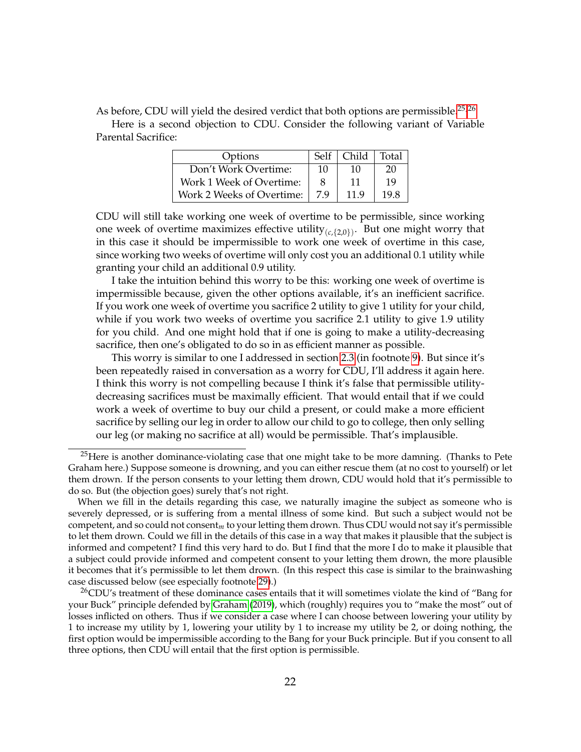As before, CDU will yield the desired verdict that both options are permissible.<sup>[25,](#page-21-0)[26](#page-21-1)</sup>

Here is a second objection to CDU. Consider the following variant of Variable Parental Sacrifice:

| Options                   | Self | Child | Total |
|---------------------------|------|-------|-------|
| Don't Work Overtime:      | 10   | 10    | 20    |
| Work 1 Week of Overtime:  |      | 11    | 19    |
| Work 2 Weeks of Overtime: | 7.9  | 11.9  | 19.8  |

CDU will still take working one week of overtime to be permissible, since working one week of overtime maximizes effective utility $_{(c,\{2,0\})}$ . But one might worry that in this case it should be impermissible to work one week of overtime in this case, since working two weeks of overtime will only cost you an additional 0.1 utility while granting your child an additional 0.9 utility.

I take the intuition behind this worry to be this: working one week of overtime is impermissible because, given the other options available, it's an inefficient sacrifice. If you work one week of overtime you sacrifice 2 utility to give 1 utility for your child, while if you work two weeks of overtime you sacrifice 2.1 utility to give 1.9 utility for you child. And one might hold that if one is going to make a utility-decreasing sacrifice, then one's obligated to do so in as efficient manner as possible.

This worry is similar to one I addressed in section [2.3](#page-5-1) (in footnote [9\)](#page-5-0). But since it's been repeatedly raised in conversation as a worry for CDU, I'll address it again here. I think this worry is not compelling because I think it's false that permissible utilitydecreasing sacrifices must be maximally efficient. That would entail that if we could work a week of overtime to buy our child a present, or could make a more efficient sacrifice by selling our leg in order to allow our child to go to college, then only selling our leg (or making no sacrifice at all) would be permissible. That's implausible.

<span id="page-21-0"></span><sup>&</sup>lt;sup>25</sup>Here is another dominance-violating case that one might take to be more damning. (Thanks to Pete Graham here.) Suppose someone is drowning, and you can either rescue them (at no cost to yourself) or let them drown. If the person consents to your letting them drown, CDU would hold that it's permissible to do so. But (the objection goes) surely that's not right.

When we fill in the details regarding this case, we naturally imagine the subject as someone who is severely depressed, or is suffering from a mental illness of some kind. But such a subject would not be competent, and so could not consent*m* to your letting them drown. Thus CDU would not say it's permissible to let them drown. Could we fill in the details of this case in a way that makes it plausible that the subject is informed and competent? I find this very hard to do. But I find that the more I do to make it plausible that a subject could provide informed and competent consent to your letting them drown, the more plausible it becomes that it's permissible to let them drown. (In this respect this case is similar to the brainwashing case discussed below (see especially footnote [29\)](#page-22-0).)

<span id="page-21-1"></span><sup>&</sup>lt;sup>26</sup>CDU's treatment of these dominance cases entails that it will sometimes violate the kind of "Bang for your Buck" principle defended by [Graham](#page-28-14) [\(2019\)](#page-28-14), which (roughly) requires you to "make the most" out of losses inflicted on others. Thus if we consider a case where I can choose between lowering your utility by 1 to increase my utility by 1, lowering your utility by 1 to increase my utility be 2, or doing nothing, the first option would be impermissible according to the Bang for your Buck principle. But if you consent to all three options, then CDU will entail that the first option is permissible.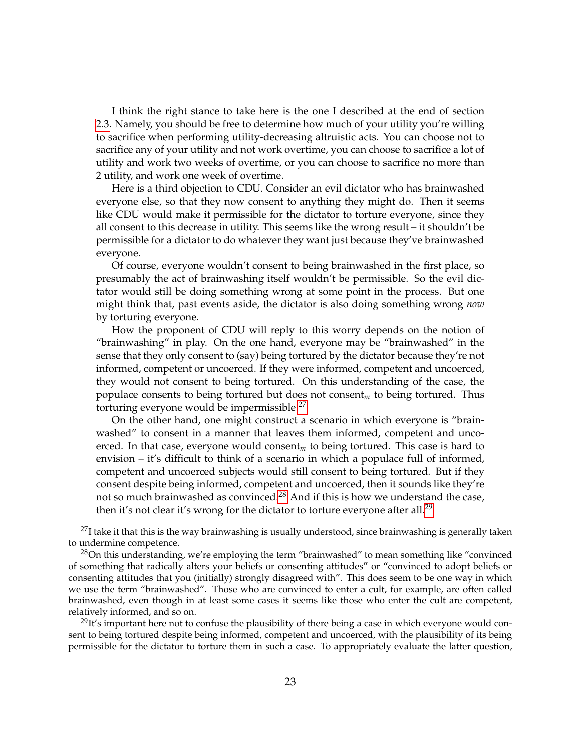I think the right stance to take here is the one I described at the end of section [2.3.](#page-5-1) Namely, you should be free to determine how much of your utility you're willing to sacrifice when performing utility-decreasing altruistic acts. You can choose not to sacrifice any of your utility and not work overtime, you can choose to sacrifice a lot of utility and work two weeks of overtime, or you can choose to sacrifice no more than 2 utility, and work one week of overtime.

Here is a third objection to CDU. Consider an evil dictator who has brainwashed everyone else, so that they now consent to anything they might do. Then it seems like CDU would make it permissible for the dictator to torture everyone, since they all consent to this decrease in utility. This seems like the wrong result – it shouldn't be permissible for a dictator to do whatever they want just because they've brainwashed everyone.

Of course, everyone wouldn't consent to being brainwashed in the first place, so presumably the act of brainwashing itself wouldn't be permissible. So the evil dictator would still be doing something wrong at some point in the process. But one might think that, past events aside, the dictator is also doing something wrong *now* by torturing everyone.

How the proponent of CDU will reply to this worry depends on the notion of "brainwashing" in play. On the one hand, everyone may be "brainwashed" in the sense that they only consent to (say) being tortured by the dictator because they're not informed, competent or uncoerced. If they were informed, competent and uncoerced, they would not consent to being tortured. On this understanding of the case, the populace consents to being tortured but does not consent*<sup>m</sup>* to being tortured. Thus torturing everyone would be impermissible.<sup>[27](#page-22-1)</sup>

On the other hand, one might construct a scenario in which everyone is "brainwashed" to consent in a manner that leaves them informed, competent and uncoerced. In that case, everyone would consent*<sup>m</sup>* to being tortured. This case is hard to envision – it's difficult to think of a scenario in which a populace full of informed, competent and uncoerced subjects would still consent to being tortured. But if they consent despite being informed, competent and uncoerced, then it sounds like they're not so much brainwashed as convinced.<sup>[28](#page-22-2)</sup> And if this is how we understand the case, then it's not clear it's wrong for the dictator to torture everyone after all.<sup>[29](#page-22-0)</sup>

<span id="page-22-0"></span> $^{29}$ It's important here not to confuse the plausibility of there being a case in which everyone would consent to being tortured despite being informed, competent and uncoerced, with the plausibility of its being permissible for the dictator to torture them in such a case. To appropriately evaluate the latter question,

<span id="page-22-1"></span> $^{27}$ I take it that this is the way brainwashing is usually understood, since brainwashing is generally taken to undermine competence.

<span id="page-22-2"></span> $28$ On this understanding, we're employing the term "brainwashed" to mean something like "convinced of something that radically alters your beliefs or consenting attitudes" or "convinced to adopt beliefs or consenting attitudes that you (initially) strongly disagreed with". This does seem to be one way in which we use the term "brainwashed". Those who are convinced to enter a cult, for example, are often called brainwashed, even though in at least some cases it seems like those who enter the cult are competent, relatively informed, and so on.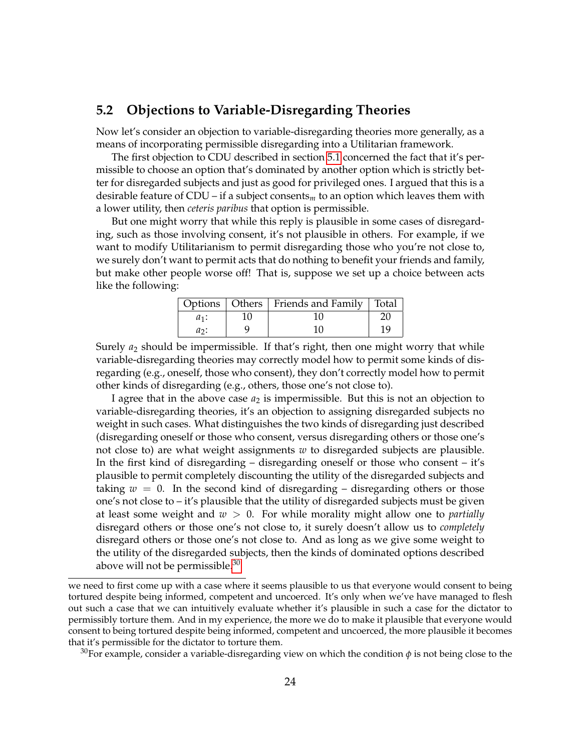#### **5.2 Objections to Variable-Disregarding Theories**

Now let's consider an objection to variable-disregarding theories more generally, as a means of incorporating permissible disregarding into a Utilitarian framework.

The first objection to CDU described in section [5.1](#page-20-0) concerned the fact that it's permissible to choose an option that's dominated by another option which is strictly better for disregarded subjects and just as good for privileged ones. I argued that this is a desirable feature of CDU – if a subject consents*<sup>m</sup>* to an option which leaves them with a lower utility, then *ceteris paribus* that option is permissible.

But one might worry that while this reply is plausible in some cases of disregarding, such as those involving consent, it's not plausible in others. For example, if we want to modify Utilitarianism to permit disregarding those who you're not close to, we surely don't want to permit acts that do nothing to benefit your friends and family, but make other people worse off! That is, suppose we set up a choice between acts like the following:

|         | Options   Others   Friends and Family   Total |    |
|---------|-----------------------------------------------|----|
| $a_1$ : |                                               |    |
| $a_2$ : |                                               | 19 |

Surely *a*<sup>2</sup> should be impermissible. If that's right, then one might worry that while variable-disregarding theories may correctly model how to permit some kinds of disregarding (e.g., oneself, those who consent), they don't correctly model how to permit other kinds of disregarding (e.g., others, those one's not close to).

I agree that in the above case *a*<sup>2</sup> is impermissible. But this is not an objection to variable-disregarding theories, it's an objection to assigning disregarded subjects no weight in such cases. What distinguishes the two kinds of disregarding just described (disregarding oneself or those who consent, versus disregarding others or those one's not close to) are what weight assignments *w* to disregarded subjects are plausible. In the first kind of disregarding – disregarding oneself or those who consent – it's plausible to permit completely discounting the utility of the disregarded subjects and taking  $w = 0$ . In the second kind of disregarding – disregarding others or those one's not close to  $-i$  t's plausible that the utility of disregarded subjects must be given at least some weight and *w* > 0. For while morality might allow one to *partially* disregard others or those one's not close to, it surely doesn't allow us to *completely* disregard others or those one's not close to. And as long as we give some weight to the utility of the disregarded subjects, then the kinds of dominated options described above will not be permissible. $30$ 

<span id="page-23-0"></span><sup>30</sup>For example, consider a variable-disregarding view on which the condition  $\phi$  is not being close to the

we need to first come up with a case where it seems plausible to us that everyone would consent to being tortured despite being informed, competent and uncoerced. It's only when we've have managed to flesh out such a case that we can intuitively evaluate whether it's plausible in such a case for the dictator to permissibly torture them. And in my experience, the more we do to make it plausible that everyone would consent to being tortured despite being informed, competent and uncoerced, the more plausible it becomes that it's permissible for the dictator to torture them.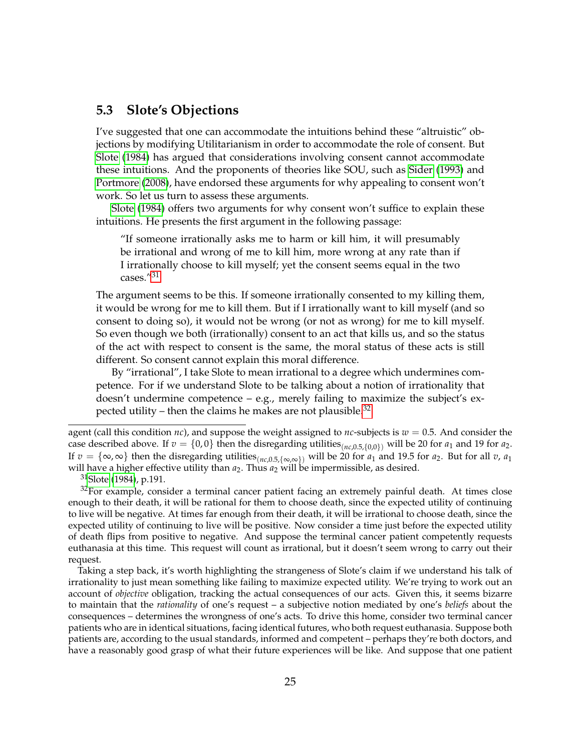#### <span id="page-24-0"></span>**5.3 Slote's Objections**

I've suggested that one can accommodate the intuitions behind these "altruistic" objections by modifying Utilitarianism in order to accommodate the role of consent. But [Slote](#page-28-1) [\(1984\)](#page-28-1) has argued that considerations involving consent cannot accommodate these intuitions. And the proponents of theories like SOU, such as [Sider](#page-28-2) [\(1993\)](#page-28-2) and [Portmore](#page-28-3) [\(2008\)](#page-28-3), have endorsed these arguments for why appealing to consent won't work. So let us turn to assess these arguments.

[Slote](#page-28-1) [\(1984\)](#page-28-1) offers two arguments for why consent won't suffice to explain these intuitions. He presents the first argument in the following passage:

"If someone irrationally asks me to harm or kill him, it will presumably be irrational and wrong of me to kill him, more wrong at any rate than if I irrationally choose to kill myself; yet the consent seems equal in the two cases."[31](#page-24-1)

The argument seems to be this. If someone irrationally consented to my killing them, it would be wrong for me to kill them. But if I irrationally want to kill myself (and so consent to doing so), it would not be wrong (or not as wrong) for me to kill myself. So even though we both (irrationally) consent to an act that kills us, and so the status of the act with respect to consent is the same, the moral status of these acts is still different. So consent cannot explain this moral difference.

By "irrational", I take Slote to mean irrational to a degree which undermines competence. For if we understand Slote to be talking about a notion of irrationality that doesn't undermine competence – e.g., merely failing to maximize the subject's ex-pected utility – then the claims he makes are not plausible.<sup>[32](#page-24-2)</sup>

<span id="page-24-2"></span><span id="page-24-1"></span><sup>31</sup>[Slote](#page-28-1) [\(1984\)](#page-28-1), p.191.

 $32$ For example, consider a terminal cancer patient facing an extremely painful death. At times close enough to their death, it will be rational for them to choose death, since the expected utility of continuing to live will be negative. At times far enough from their death, it will be irrational to choose death, since the expected utility of continuing to live will be positive. Now consider a time just before the expected utility of death flips from positive to negative. And suppose the terminal cancer patient competently requests euthanasia at this time. This request will count as irrational, but it doesn't seem wrong to carry out their request.

Taking a step back, it's worth highlighting the strangeness of Slote's claim if we understand his talk of irrationality to just mean something like failing to maximize expected utility. We're trying to work out an account of *objective* obligation, tracking the actual consequences of our acts. Given this, it seems bizarre to maintain that the *rationality* of one's request – a subjective notion mediated by one's *beliefs* about the consequences – determines the wrongness of one's acts. To drive this home, consider two terminal cancer patients who are in identical situations, facing identical futures, who both request euthanasia. Suppose both patients are, according to the usual standards, informed and competent – perhaps they're both doctors, and have a reasonably good grasp of what their future experiences will be like. And suppose that one patient

agent (call this condition *nc*), and suppose the weight assigned to *nc*-subjects is  $w = 0.5$ . And consider the case described above. If  $v = \{0, 0\}$  then the disregarding utilities<sub>(*nc*,0,5,{0,0}</sub>) will be 20 for *a*<sub>1</sub> and 19 for *a*<sub>2</sub>. If  $v = \{\infty, \infty\}$  then the disregarding utilities<sub>(*nc*,0.5,{ $\infty$ , $\infty$ }</sub>) will be 20 for *a*<sub>1</sub> and 19.5 for *a*<sub>2</sub>. But for all *v*, *a*<sub>1</sub> will have a higher effective utility than  $a_2$ . Thus  $a_2$  will be impermissible, as desired.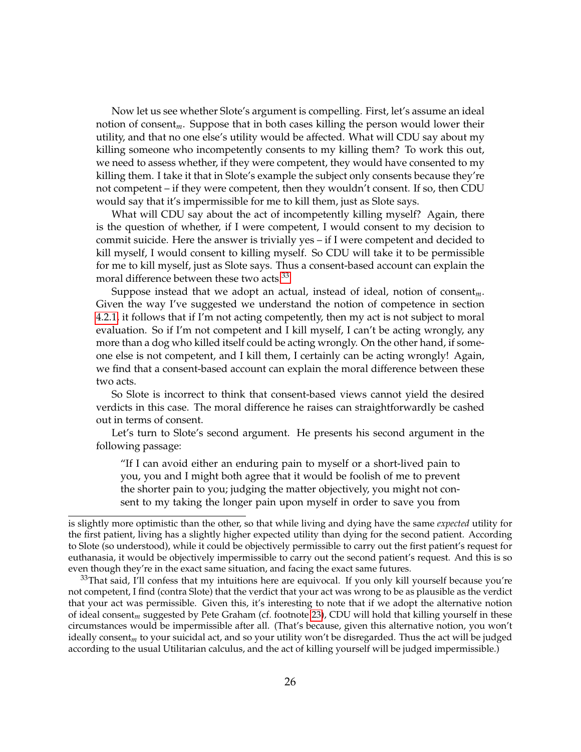Now let us see whether Slote's argument is compelling. First, let's assume an ideal notion of consent*m*. Suppose that in both cases killing the person would lower their utility, and that no one else's utility would be affected. What will CDU say about my killing someone who incompetently consents to my killing them? To work this out, we need to assess whether, if they were competent, they would have consented to my killing them. I take it that in Slote's example the subject only consents because they're not competent – if they were competent, then they wouldn't consent. If so, then CDU would say that it's impermissible for me to kill them, just as Slote says.

What will CDU say about the act of incompetently killing myself? Again, there is the question of whether, if I were competent, I would consent to my decision to commit suicide. Here the answer is trivially yes – if I were competent and decided to kill myself, I would consent to killing myself. So CDU will take it to be permissible for me to kill myself, just as Slote says. Thus a consent-based account can explain the moral difference between these two acts.<sup>[33](#page-25-0)</sup>

Suppose instead that we adopt an actual, instead of ideal, notion of consent*m*. Given the way I've suggested we understand the notion of competence in section [4.2.1,](#page-17-2) it follows that if I'm not acting competently, then my act is not subject to moral evaluation. So if I'm not competent and I kill myself, I can't be acting wrongly, any more than a dog who killed itself could be acting wrongly. On the other hand, if someone else is not competent, and I kill them, I certainly can be acting wrongly! Again, we find that a consent-based account can explain the moral difference between these two acts.

So Slote is incorrect to think that consent-based views cannot yield the desired verdicts in this case. The moral difference he raises can straightforwardly be cashed out in terms of consent.

Let's turn to Slote's second argument. He presents his second argument in the following passage:

"If I can avoid either an enduring pain to myself or a short-lived pain to you, you and I might both agree that it would be foolish of me to prevent the shorter pain to you; judging the matter objectively, you might not consent to my taking the longer pain upon myself in order to save you from

is slightly more optimistic than the other, so that while living and dying have the same *expected* utility for the first patient, living has a slightly higher expected utility than dying for the second patient. According to Slote (so understood), while it could be objectively permissible to carry out the first patient's request for euthanasia, it would be objectively impermissible to carry out the second patient's request. And this is so even though they're in the exact same situation, and facing the exact same futures.

<span id="page-25-0"></span> $33$ That said, I'll confess that my intuitions here are equivocal. If you only kill yourself because you're not competent, I find (contra Slote) that the verdict that your act was wrong to be as plausible as the verdict that your act was permissible. Given this, it's interesting to note that if we adopt the alternative notion of ideal consent*m* suggested by Pete Graham (cf. footnote [23\)](#page-19-1), CDU will hold that killing yourself in these circumstances would be impermissible after all. (That's because, given this alternative notion, you won't ideally consent*m* to your suicidal act, and so your utility won't be disregarded. Thus the act will be judged according to the usual Utilitarian calculus, and the act of killing yourself will be judged impermissible.)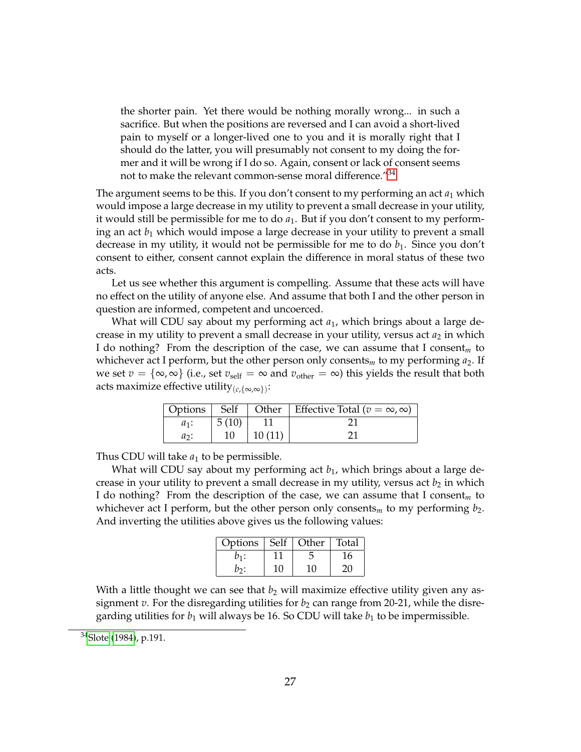the shorter pain. Yet there would be nothing morally wrong... in such a sacrifice. But when the positions are reversed and I can avoid a short-lived pain to myself or a longer-lived one to you and it is morally right that I should do the latter, you will presumably not consent to my doing the former and it will be wrong if I do so. Again, consent or lack of consent seems not to make the relevant common-sense moral difference.<sup>"[34](#page-26-0)</sup>

The argument seems to be this. If you don't consent to my performing an act  $a_1$  which would impose a large decrease in my utility to prevent a small decrease in your utility, it would still be permissible for me to do  $a_1$ . But if you don't consent to my performing an act *b*<sup>1</sup> which would impose a large decrease in your utility to prevent a small decrease in my utility, it would not be permissible for me to do  $b_1$ . Since you don't consent to either, consent cannot explain the difference in moral status of these two acts.

Let us see whether this argument is compelling. Assume that these acts will have no effect on the utility of anyone else. And assume that both I and the other person in question are informed, competent and uncoerced.

What will CDU say about my performing act *a*1, which brings about a large decrease in my utility to prevent a small decrease in your utility, versus act  $a_2$  in which I do nothing? From the description of the case, we can assume that I consent*<sup>m</sup>* to whichever act I perform, but the other person only consents<sub>*m*</sub> to my performing  $a_2$ . If we set  $v = \{\infty, \infty\}$  (i.e., set  $v_{\text{self}} = \infty$  and  $v_{\text{other}} = \infty$ ) this yields the result that both acts maximize effective utility(*c*,{∞,∞}) :

| Options | Self  |        | Other   Effective Total ( $v = \infty$ , $\infty$ ) |
|---------|-------|--------|-----------------------------------------------------|
| $a_1$ : | 5(10) |        |                                                     |
| $a_2$ : | 10    | 10(11) |                                                     |

Thus CDU will take  $a_1$  to be permissible.

What will CDU say about my performing act  $b_1$ , which brings about a large decrease in your utility to prevent a small decrease in my utility, versus act  $b_2$  in which I do nothing? From the description of the case, we can assume that I consent*<sup>m</sup>* to whichever act I perform, but the other person only consents<sub>*m*</sub> to my performing  $b_2$ . And inverting the utilities above gives us the following values:

| Options   Self |    | Other | Total |
|----------------|----|-------|-------|
| $v_1$ :        |    |       | 16    |
| no:            | 10 | 10    | 2G.   |

With a little thought we can see that  $b_2$  will maximize effective utility given any assignment  $v$ . For the disregarding utilities for  $b_2$  can range from 20-21, while the disregarding utilities for  $b_1$  will always be 16. So CDU will take  $b_1$  to be impermissible.

<span id="page-26-0"></span><sup>34</sup>[Slote](#page-28-1) [\(1984\)](#page-28-1), p.191.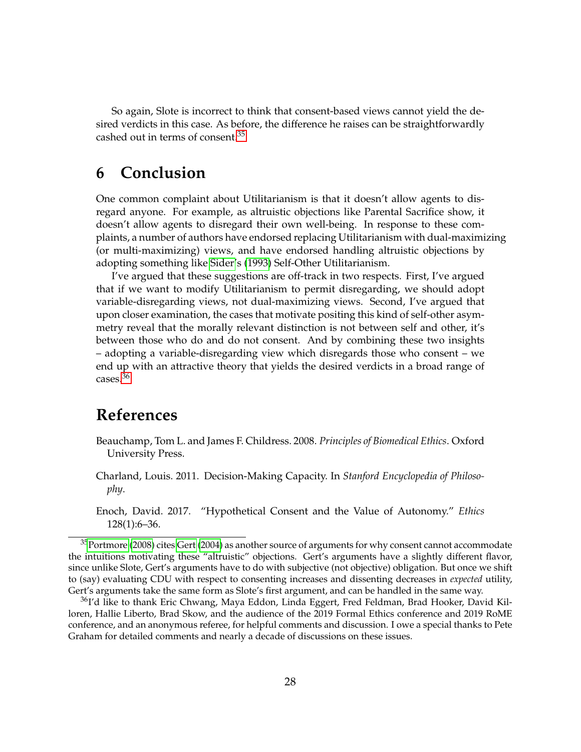So again, Slote is incorrect to think that consent-based views cannot yield the desired verdicts in this case. As before, the difference he raises can be straightforwardly cashed out in terms of consent.[35](#page-27-3)

### **6 Conclusion**

One common complaint about Utilitarianism is that it doesn't allow agents to disregard anyone. For example, as altruistic objections like Parental Sacrifice show, it doesn't allow agents to disregard their own well-being. In response to these complaints, a number of authors have endorsed replacing Utilitarianism with dual-maximizing (or multi-maximizing) views, and have endorsed handling altruistic objections by adopting something like [Sider'](#page-28-2)s [\(1993\)](#page-28-2) Self-Other Utilitarianism.

I've argued that these suggestions are off-track in two respects. First, I've argued that if we want to modify Utilitarianism to permit disregarding, we should adopt variable-disregarding views, not dual-maximizing views. Second, I've argued that upon closer examination, the cases that motivate positing this kind of self-other asymmetry reveal that the morally relevant distinction is not between self and other, it's between those who do and do not consent. And by combining these two insights – adopting a variable-disregarding view which disregards those who consent – we end up with an attractive theory that yields the desired verdicts in a broad range of cases.[36](#page-27-4)

## **References**

- <span id="page-27-0"></span>Beauchamp, Tom L. and James F. Childress. 2008. *Principles of Biomedical Ethics*. Oxford University Press.
- <span id="page-27-1"></span>Charland, Louis. 2011. Decision-Making Capacity. In *Stanford Encyclopedia of Philosophy*.
- <span id="page-27-2"></span>Enoch, David. 2017. "Hypothetical Consent and the Value of Autonomy." *Ethics* 128(1):6–36.

<span id="page-27-3"></span> $35$ [Portmore](#page-28-3) [\(2008\)](#page-28-3) cites [Gert](#page-28-15) [\(2004\)](#page-28-15) as another source of arguments for why consent cannot accommodate the intuitions motivating these "altruistic" objections. Gert's arguments have a slightly different flavor, since unlike Slote, Gert's arguments have to do with subjective (not objective) obligation. But once we shift to (say) evaluating CDU with respect to consenting increases and dissenting decreases in *expected* utility, Gert's arguments take the same form as Slote's first argument, and can be handled in the same way.

<span id="page-27-4"></span><sup>&</sup>lt;sup>36</sup>I'd like to thank Eric Chwang, Maya Eddon, Linda Eggert, Fred Feldman, Brad Hooker, David Killoren, Hallie Liberto, Brad Skow, and the audience of the 2019 Formal Ethics conference and 2019 RoME conference, and an anonymous referee, for helpful comments and discussion. I owe a special thanks to Pete Graham for detailed comments and nearly a decade of discussions on these issues.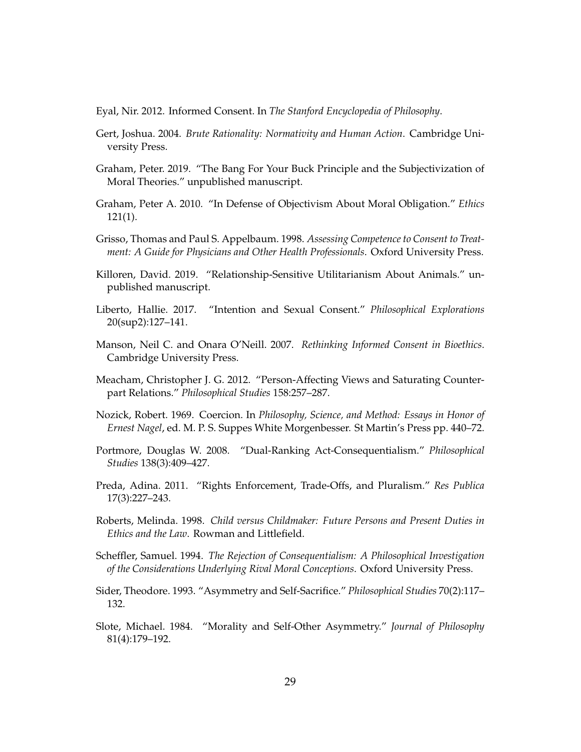<span id="page-28-11"></span>Eyal, Nir. 2012. Informed Consent. In *The Stanford Encyclopedia of Philosophy*.

- <span id="page-28-15"></span>Gert, Joshua. 2004. *Brute Rationality: Normativity and Human Action*. Cambridge University Press.
- <span id="page-28-14"></span>Graham, Peter. 2019. "The Bang For Your Buck Principle and the Subjectivization of Moral Theories." unpublished manuscript.
- <span id="page-28-4"></span>Graham, Peter A. 2010. "In Defense of Objectivism About Moral Obligation." *Ethics* 121(1).
- <span id="page-28-12"></span>Grisso, Thomas and Paul S. Appelbaum. 1998. *Assessing Competence to Consent to Treatment: A Guide for Physicians and Other Health Professionals*. Oxford University Press.
- <span id="page-28-9"></span>Killoren, David. 2019. "Relationship-Sensitive Utilitarianism About Animals." unpublished manuscript.
- <span id="page-28-8"></span>Liberto, Hallie. 2017. "Intention and Sexual Consent." *Philosophical Explorations* 20(sup2):127–141.
- <span id="page-28-10"></span>Manson, Neil C. and Onara O'Neill. 2007. *Rethinking Informed Consent in Bioethics*. Cambridge University Press.
- <span id="page-28-7"></span>Meacham, Christopher J. G. 2012. "Person-Affecting Views and Saturating Counterpart Relations." *Philosophical Studies* 158:257–287.
- <span id="page-28-13"></span>Nozick, Robert. 1969. Coercion. In *Philosophy, Science, and Method: Essays in Honor of Ernest Nagel*, ed. M. P. S. Suppes White Morgenbesser. St Martin's Press pp. 440–72.
- <span id="page-28-3"></span>Portmore, Douglas W. 2008. "Dual-Ranking Act-Consequentialism." *Philosophical Studies* 138(3):409–427.
- <span id="page-28-6"></span>Preda, Adina. 2011. "Rights Enforcement, Trade-Offs, and Pluralism." *Res Publica* 17(3):227–243.
- <span id="page-28-5"></span>Roberts, Melinda. 1998. *Child versus Childmaker: Future Persons and Present Duties in Ethics and the Law*. Rowman and Littlefield.
- <span id="page-28-0"></span>Scheffler, Samuel. 1994. *The Rejection of Consequentialism: A Philosophical Investigation of the Considerations Underlying Rival Moral Conceptions*. Oxford University Press.
- <span id="page-28-2"></span>Sider, Theodore. 1993. "Asymmetry and Self-Sacrifice." *Philosophical Studies* 70(2):117– 132.
- <span id="page-28-1"></span>Slote, Michael. 1984. "Morality and Self-Other Asymmetry." *Journal of Philosophy* 81(4):179–192.